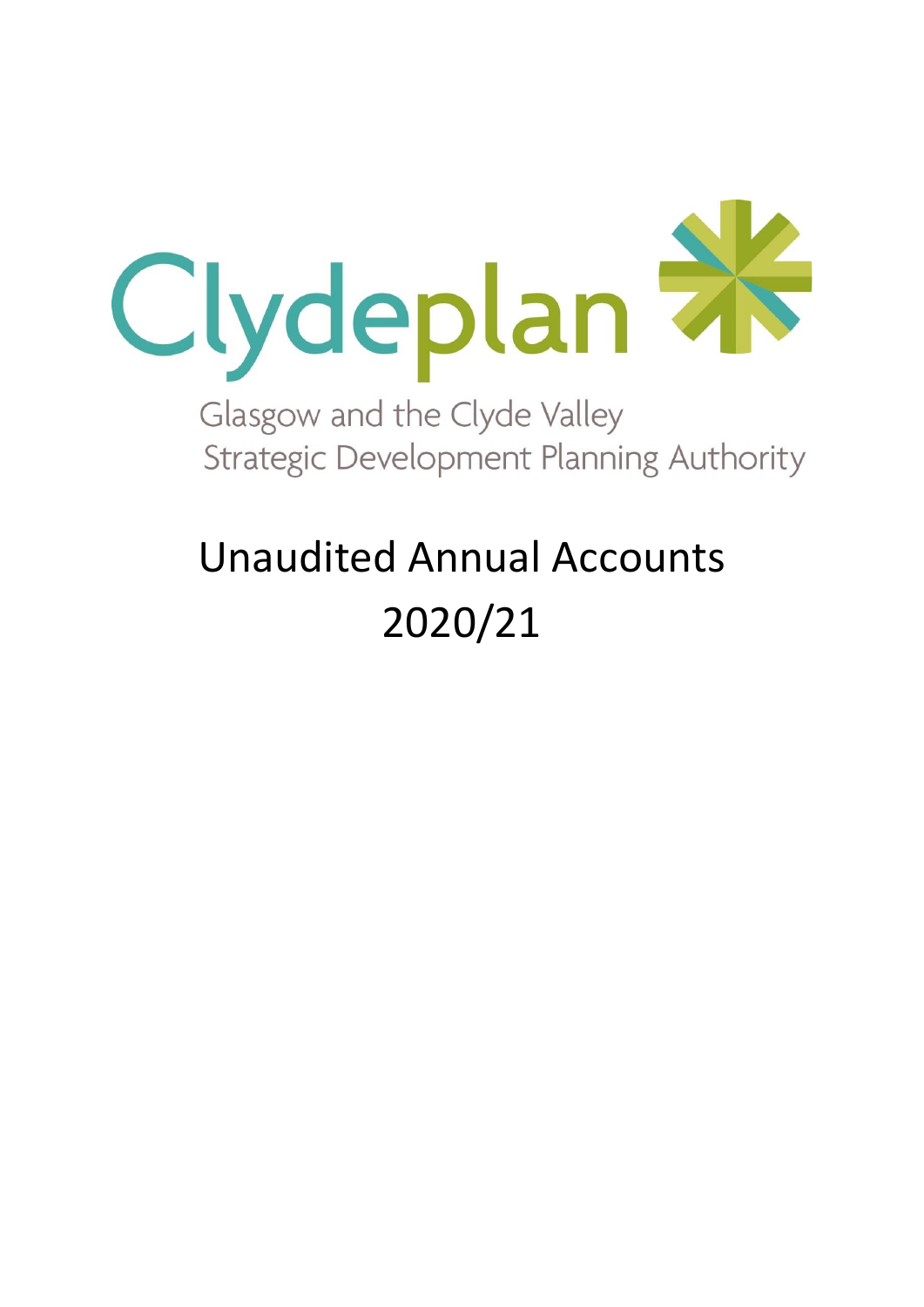

**Strategic Development Planning Authority** 

# Unaudited Annual Accounts 2020/21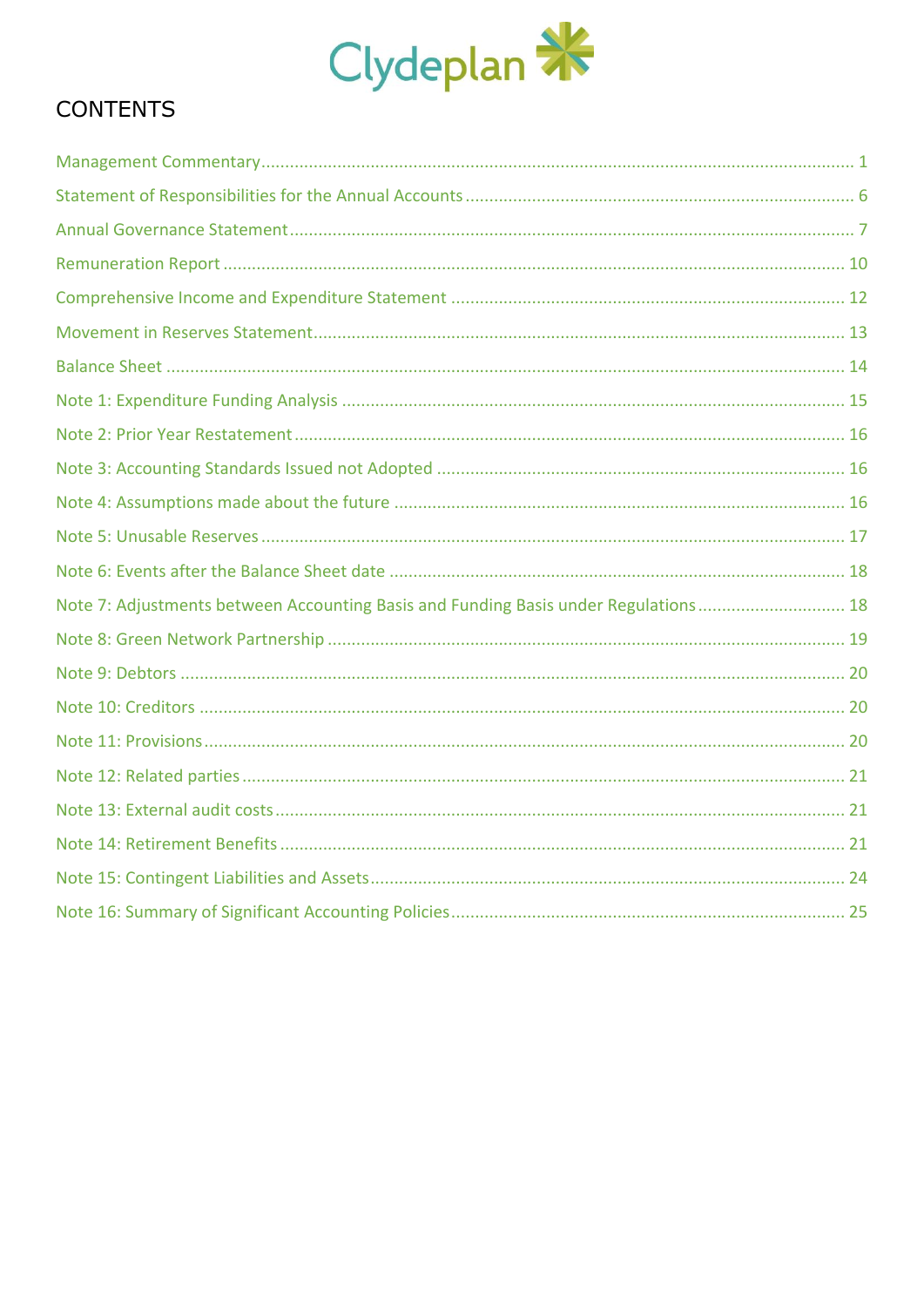

#### **CONTENTS**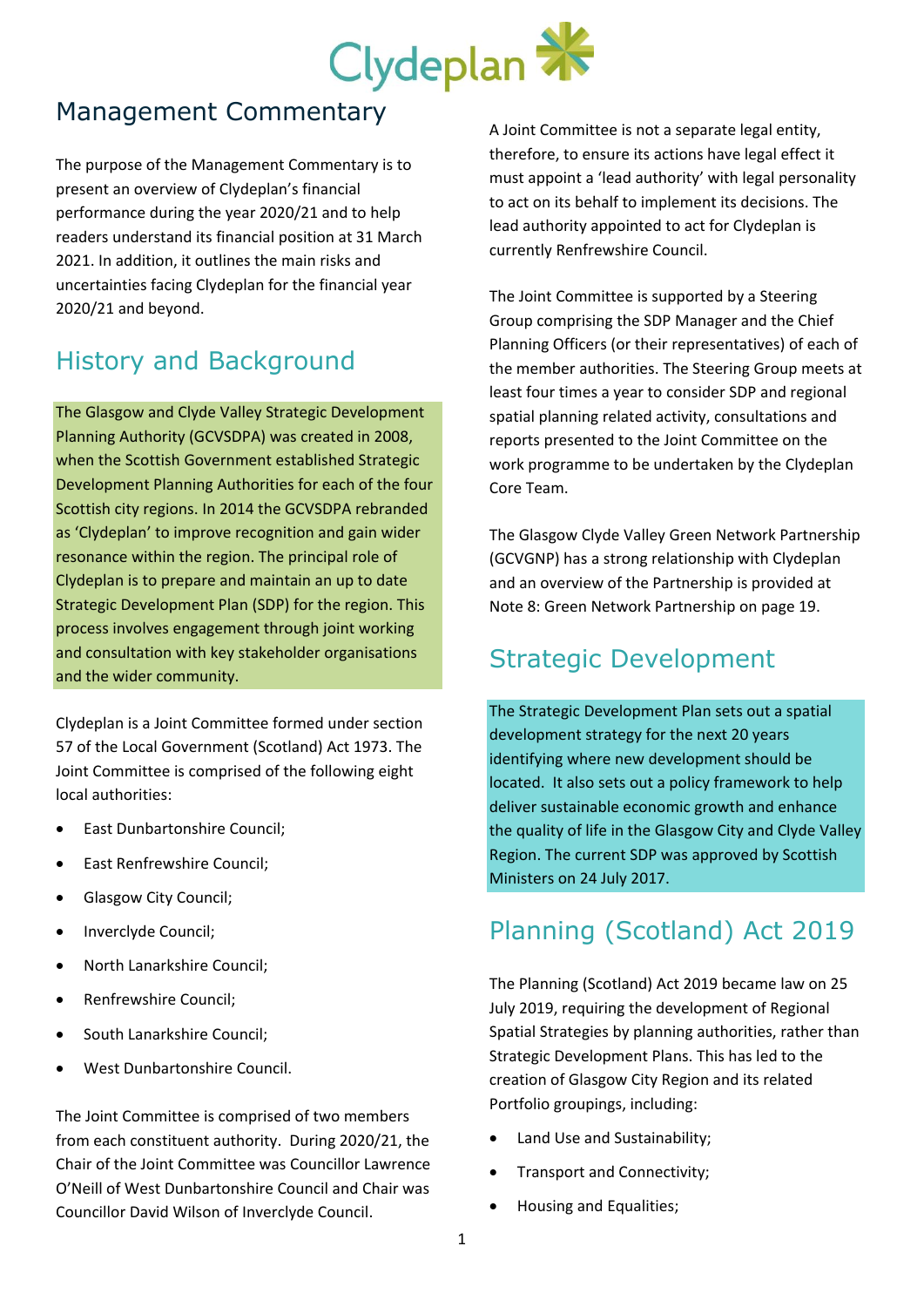

#### <span id="page-2-0"></span>Management Commentary

The purpose of the Management Commentary is to present an overview of Clydeplan's financial performance during the year 2020/21 and to help readers understand its financial position at 31 March 2021. In addition, it outlines the main risks and uncertainties facing Clydeplan for the financial year 2020/21 and beyond.

# History and Background

The Glasgow and Clyde Valley Strategic Development Planning Authority (GCVSDPA) was created in 2008, when the Scottish Government established Strategic Development Planning Authorities for each of the four Scottish city regions. In 2014 the GCVSDPA rebranded as 'Clydeplan' to improve recognition and gain wider resonance within the region. The principal role of Clydeplan is to prepare and maintain an up to date Strategic Development Plan (SDP) for the region. This process involves engagement through joint working and consultation with key stakeholder organisations and the wider community.

Clydeplan is a Joint Committee formed under section 57 of the Local Government (Scotland) Act 1973. The Joint Committee is comprised of the following eight local authorities:

- East Dunbartonshire Council;
- East Renfrewshire Council;
- Glasgow City Council;
- Inverclyde Council;
- North Lanarkshire Council;
- Renfrewshire Council;
- South Lanarkshire Council;
- West Dunbartonshire Council.

The Joint Committee is comprised of two members from each constituent authority. During 2020/21, the Chair of the Joint Committee was Councillor Lawrence O'Neill of West Dunbartonshire Council and Chair was Councillor David Wilson of Inverclyde Council.

A Joint Committee is not a separate legal entity, therefore, to ensure its actions have legal effect it must appoint a 'lead authority' with legal personality to act on its behalf to implement its decisions. The lead authority appointed to act for Clydeplan is currently Renfrewshire Council.

The Joint Committee is supported by a Steering Group comprising the SDP Manager and the Chief Planning Officers (or their representatives) of each of the member authorities. The Steering Group meets at least four times a year to consider SDP and regional spatial planning related activity, consultations and reports presented to the Joint Committee on the work programme to be undertaken by the Clydeplan Core Team.

The Glasgow Clyde Valley Green Network Partnership (GCVGNP) has a strong relationship with Clydeplan and an overview of the Partnership is provided at Note 8: [Green Network Partnership](#page-20-0) on page [19.](#page-20-0)

#### Strategic Development

The Strategic Development Plan sets out a spatial development strategy for the next 20 years identifying where new development should be located. It also sets out a policy framework to help deliver sustainable economic growth and enhance the quality of life in the Glasgow City and Clyde Valley Region. The current SDP was approved by Scottish Ministers on 24 July 2017.

#### Planning (Scotland) Act 2019

The Planning (Scotland) Act 2019 became law on 25 July 2019, requiring the development of Regional Spatial Strategies by planning authorities, rather than Strategic Development Plans. This has led to the creation of Glasgow City Region and its related Portfolio groupings, including:

- Land Use and Sustainability;
- Transport and Connectivity;
- Housing and Equalities;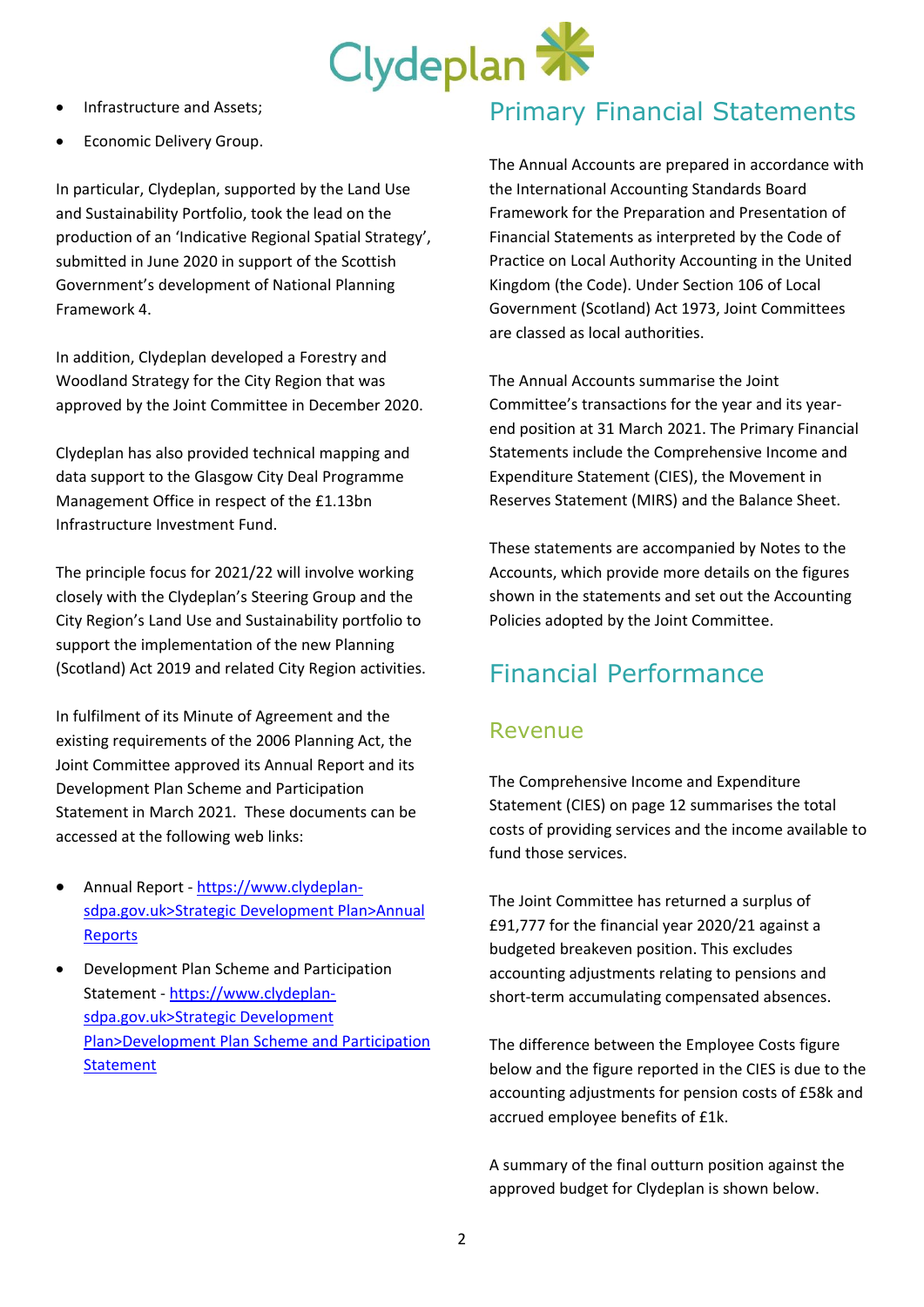

- Infrastructure and Assets;
- Economic Delivery Group.

In particular, Clydeplan, supported by the Land Use and Sustainability Portfolio, took the lead on the production of an 'Indicative Regional Spatial Strategy', submitted in June 2020 in support of the Scottish Government's development of National Planning Framework 4.

In addition, Clydeplan developed a Forestry and Woodland Strategy for the City Region that was approved by the Joint Committee in December 2020.

Clydeplan has also provided technical mapping and data support to the Glasgow City Deal Programme Management Office in respect of the £1.13bn Infrastructure Investment Fund.

The principle focus for 2021/22 will involve working closely with the Clydeplan's Steering Group and the City Region's Land Use and Sustainability portfolio to support the implementation of the new Planning (Scotland) Act 2019 and related City Region activities.

In fulfilment of its Minute of Agreement and the existing requirements of the 2006 Planning Act, the Joint Committee approved its Annual Report and its Development Plan Scheme and Participation Statement in March 2021. These documents can be accessed at the following web links:

- Annual Report [https://www.clydeplan](https://www.clydeplan-sdpa.gov.uk/docman/annual-reports/306-annual-report-2020/file)[sdpa.gov.uk>Strategic Development Plan>Annual](https://www.clydeplan-sdpa.gov.uk/docman/annual-reports/306-annual-report-2020/file)  [Reports](https://www.clydeplan-sdpa.gov.uk/docman/annual-reports/306-annual-report-2020/file)
- Development Plan Scheme and Participation Statement - [https://www.clydeplan](https://www.clydeplan-sdpa.gov.uk/strategic-development-plan/other/development-plan-scheme-and-participation-statement)[sdpa.gov.uk>Strategic Development](https://www.clydeplan-sdpa.gov.uk/strategic-development-plan/other/development-plan-scheme-and-participation-statement)  [Plan>Development Plan Scheme and Participation](https://www.clydeplan-sdpa.gov.uk/strategic-development-plan/other/development-plan-scheme-and-participation-statement)  [Statement](https://www.clydeplan-sdpa.gov.uk/strategic-development-plan/other/development-plan-scheme-and-participation-statement)

#### Primary Financial Statements

The Annual Accounts are prepared in accordance with the International Accounting Standards Board Framework for the Preparation and Presentation of Financial Statements as interpreted by the Code of Practice on Local Authority Accounting in the United Kingdom (the Code). Under Section 106 of Local Government (Scotland) Act 1973, Joint Committees are classed as local authorities.

The Annual Accounts summarise the Joint Committee's transactions for the year and its yearend position at 31 March 2021. The Primary Financial Statements include the Comprehensive Income and Expenditure Statement (CIES), the Movement in Reserves Statement (MIRS) and the Balance Sheet.

These statements are accompanied by Notes to the Accounts, which provide more details on the figures shown in the statements and set out the Accounting Policies adopted by the Joint Committee.

# Financial Performance

#### Revenue

The Comprehensive Income and Expenditure Statement (CIES) on page [12](#page-12-0) summarises the total costs of providing services and the income available to fund those services.

The Joint Committee has returned a surplus of £91,777 for the financial year 2020/21 against a budgeted breakeven position. This excludes accounting adjustments relating to pensions and short-term accumulating compensated absences.

The difference between the Employee Costs figure below and the figure reported in the CIES is due to the accounting adjustments for pension costs of £58k and accrued employee benefits of £1k.

A summary of the final outturn position against the approved budget for Clydeplan is shown below.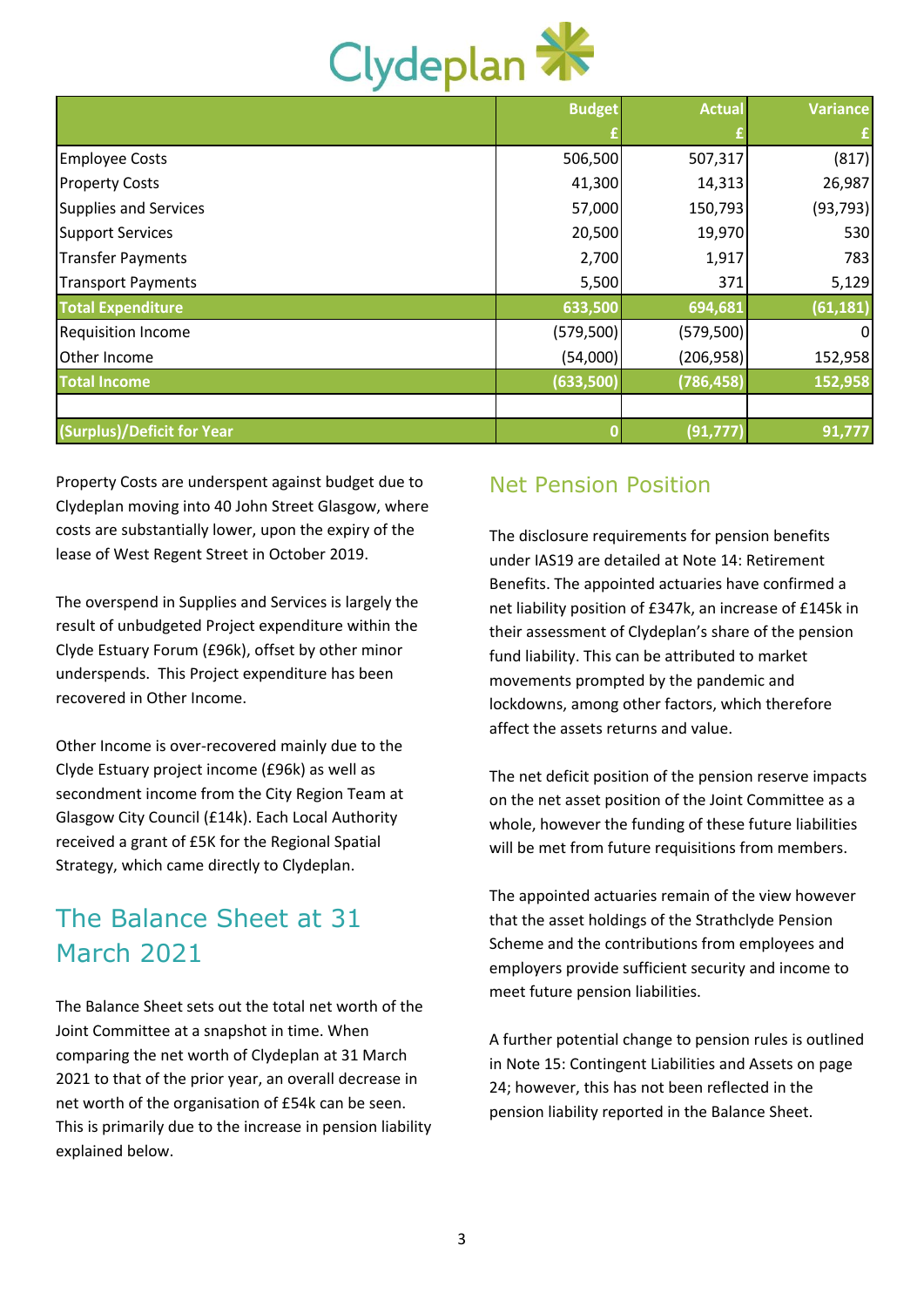

| Clydeplan                  |               |               |                 |  |  |  |  |
|----------------------------|---------------|---------------|-----------------|--|--|--|--|
|                            | <b>Budget</b> | <b>Actual</b> | <b>Variance</b> |  |  |  |  |
|                            |               |               |                 |  |  |  |  |
| <b>Employee Costs</b>      | 506,500       | 507,317       | (817)           |  |  |  |  |
| <b>Property Costs</b>      | 41,300        | 14,313        | 26,987          |  |  |  |  |
| Supplies and Services      | 57,000        | 150,793       | (93, 793)       |  |  |  |  |
| <b>Support Services</b>    | 20,500        | 19,970        | 530             |  |  |  |  |
| <b>Transfer Payments</b>   | 2,700         | 1,917         | 783             |  |  |  |  |
| <b>Transport Payments</b>  | 5,500         | 371           | 5,129           |  |  |  |  |
| <b>Total Expenditure</b>   | 633,500       | 694,681       | (61, 181)       |  |  |  |  |
| <b>Requisition Income</b>  | (579, 500)    | (579, 500)    | $\Omega$        |  |  |  |  |
| Other Income               | (54,000)      | (206, 958)    | 152,958         |  |  |  |  |
| <b>Total Income</b>        | (633, 500)    | (786, 458)    | 152,958         |  |  |  |  |
|                            |               |               |                 |  |  |  |  |
| (Surplus)/Deficit for Year |               | (91, 777)     | 91,777          |  |  |  |  |
|                            |               |               |                 |  |  |  |  |

Property Costs are underspent against budget due to Clydeplan moving into 40 John Street Glasgow, where costs are substantially lower, upon the expiry of the lease of West Regent Street in October 2019.

The overspend in Supplies and Services is largely the result of unbudgeted Project expenditure within the Clyde Estuary Forum (£96k), offset by other minor underspends. This Project expenditure has been recovered in Other Income.

Other Income is over-recovered mainly due to the Clyde Estuary project income (£96k) as well as secondment income from the City Region Team at Glasgow City Council (£14k). Each Local Authority received a grant of £5K for the Regional Spatial Strategy, which came directly to Clydeplan.

#### The Balance Sheet at 31 March 2021

The Balance Sheet sets out the total net worth of the Joint Committee at a snapshot in time. When comparing the net worth of Clydeplan at 31 March 2021 to that of the prior year, an overall decrease in net worth of the organisation of £54k can be seen. This is primarily due to the increase in pension liability explained below.

#### Net Pension Position

The disclosure requirements for pension benefits under IAS19 are detailed at Note 14: [Retirement](#page-22-2)  [Benefits.](#page-22-2) The appointed actuaries have confirmed a net liability position of £347k, an increase of £145k in their assessment of Clydeplan's share of the pension fund liability. This can be attributed to market movements prompted by the pandemic and lockdowns, among other factors, which therefore affect the assets returns and value.

The net deficit position of the pension reserve impacts on the net asset position of the Joint Committee as a whole, however the funding of these future liabilities will be met from future requisitions from members.

The appointed actuaries remain of the view however that the asset holdings of the Strathclyde Pension Scheme and the contributions from employees and employers provide sufficient security and income to meet future pension liabilities.

A further potential change to pension rules is outlined in Note 15: [Contingent Liabilities and Assets](#page-25-0) on page [24;](#page-25-0) however, this has not been reflected in the pension liability reported in the Balance Sheet.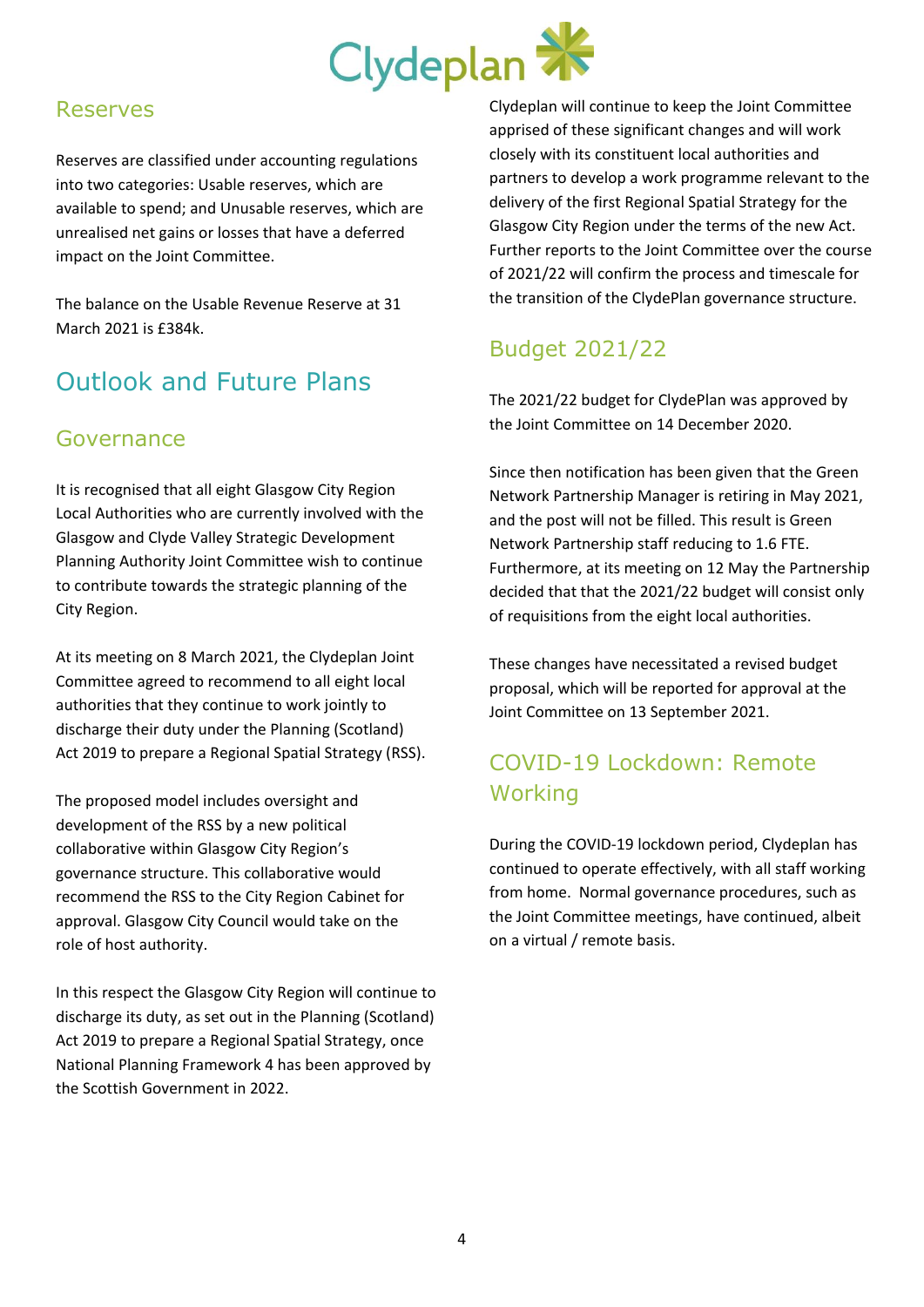

#### Reserves

Reserves are classified under accounting regulations into two categories: Usable reserves, which are available to spend; and Unusable reserves, which are unrealised net gains or losses that have a deferred impact on the Joint Committee.

The balance on the Usable Revenue Reserve at 31 March 2021 is £384k.

#### Outlook and Future Plans

#### Governance

It is recognised that all eight Glasgow City Region Local Authorities who are currently involved with the Glasgow and Clyde Valley Strategic Development Planning Authority Joint Committee wish to continue to contribute towards the strategic planning of the City Region.

At its meeting on 8 March 2021, the Clydeplan Joint Committee agreed to recommend to all eight local authorities that they continue to work jointly to discharge their duty under the Planning (Scotland) Act 2019 to prepare a Regional Spatial Strategy (RSS).

The proposed model includes oversight and development of the RSS by a new political collaborative within Glasgow City Region's governance structure. This collaborative would recommend the RSS to the City Region Cabinet for approval. Glasgow City Council would take on the role of host authority.

In this respect the Glasgow City Region will continue to discharge its duty, as set out in the Planning (Scotland) Act 2019 to prepare a Regional Spatial Strategy, once National Planning Framework 4 has been approved by the Scottish Government in 2022.

Clydeplan will continue to keep the Joint Committee apprised of these significant changes and will work closely with its constituent local authorities and partners to develop a work programme relevant to the delivery of the first Regional Spatial Strategy for the Glasgow City Region under the terms of the new Act. Further reports to the Joint Committee over the course of 2021/22 will confirm the process and timescale for the transition of the ClydePlan governance structure.

#### Budget 2021/22

The 2021/22 budget for ClydePlan was approved by the Joint Committee on 14 December 2020.

Since then notification has been given that the Green Network Partnership Manager is retiring in May 2021, and the post will not be filled. This result is Green Network Partnership staff reducing to 1.6 FTE. Furthermore, at its meeting on 12 May the Partnership decided that that the 2021/22 budget will consist only of requisitions from the eight local authorities.

These changes have necessitated a revised budget proposal, which will be reported for approval at the Joint Committee on 13 September 2021.

#### COVID-19 Lockdown: Remote Working

During the COVID-19 lockdown period, Clydeplan has continued to operate effectively, with all staff working from home. Normal governance procedures, such as the Joint Committee meetings, have continued, albeit on a virtual / remote basis.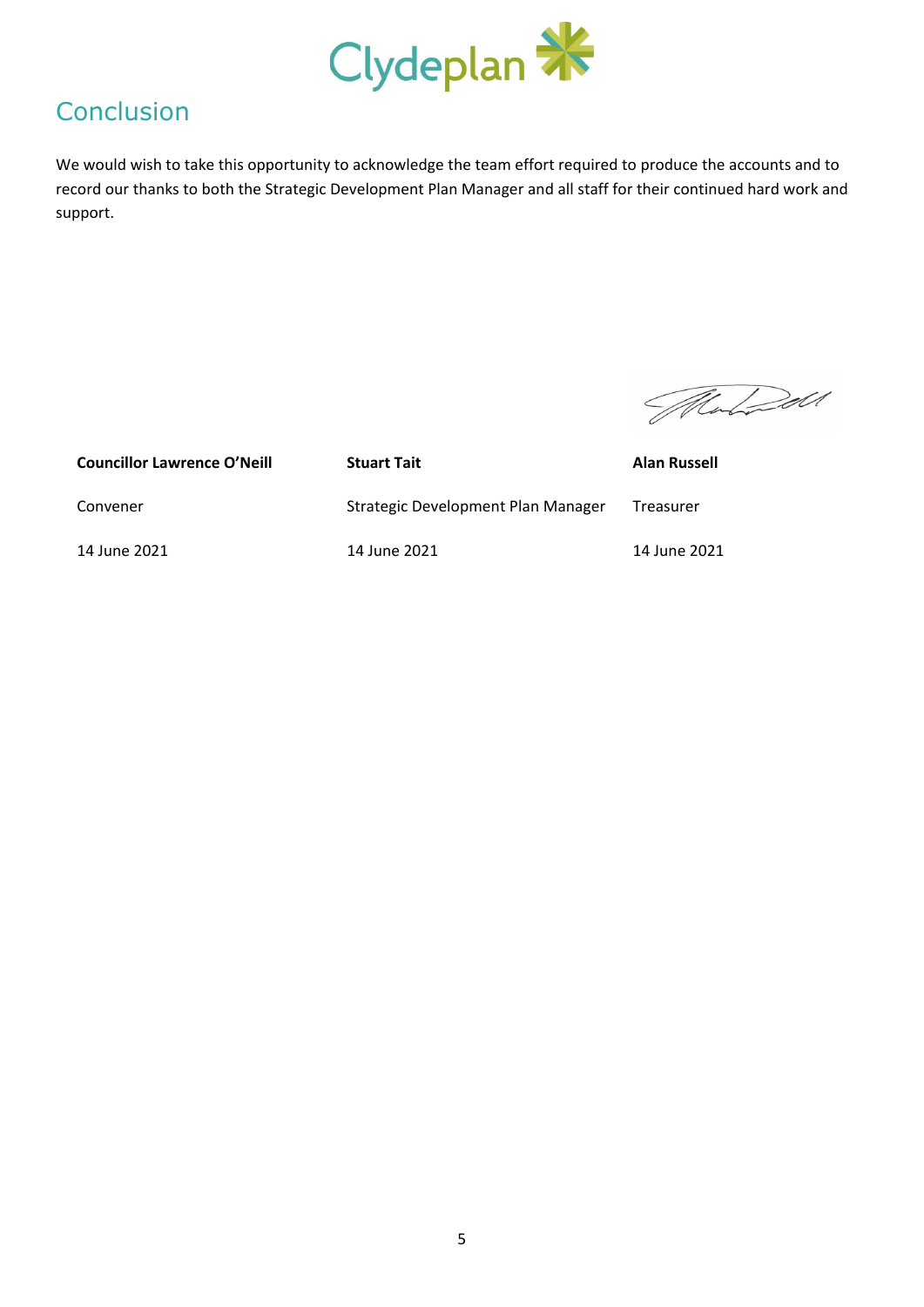

# Conclusion

We would wish to take this opportunity to acknowledge the team effort required to produce the accounts and to record our thanks to both the Strategic Development Plan Manager and all staff for their continued hard work and support.

Moderall

**Councillor Lawrence O'Neill Stuart Tait Alan Russell** Convener **Strategic Development Plan Manager** Treasurer 14 June 2021 14 June 2021 14 June 2021

5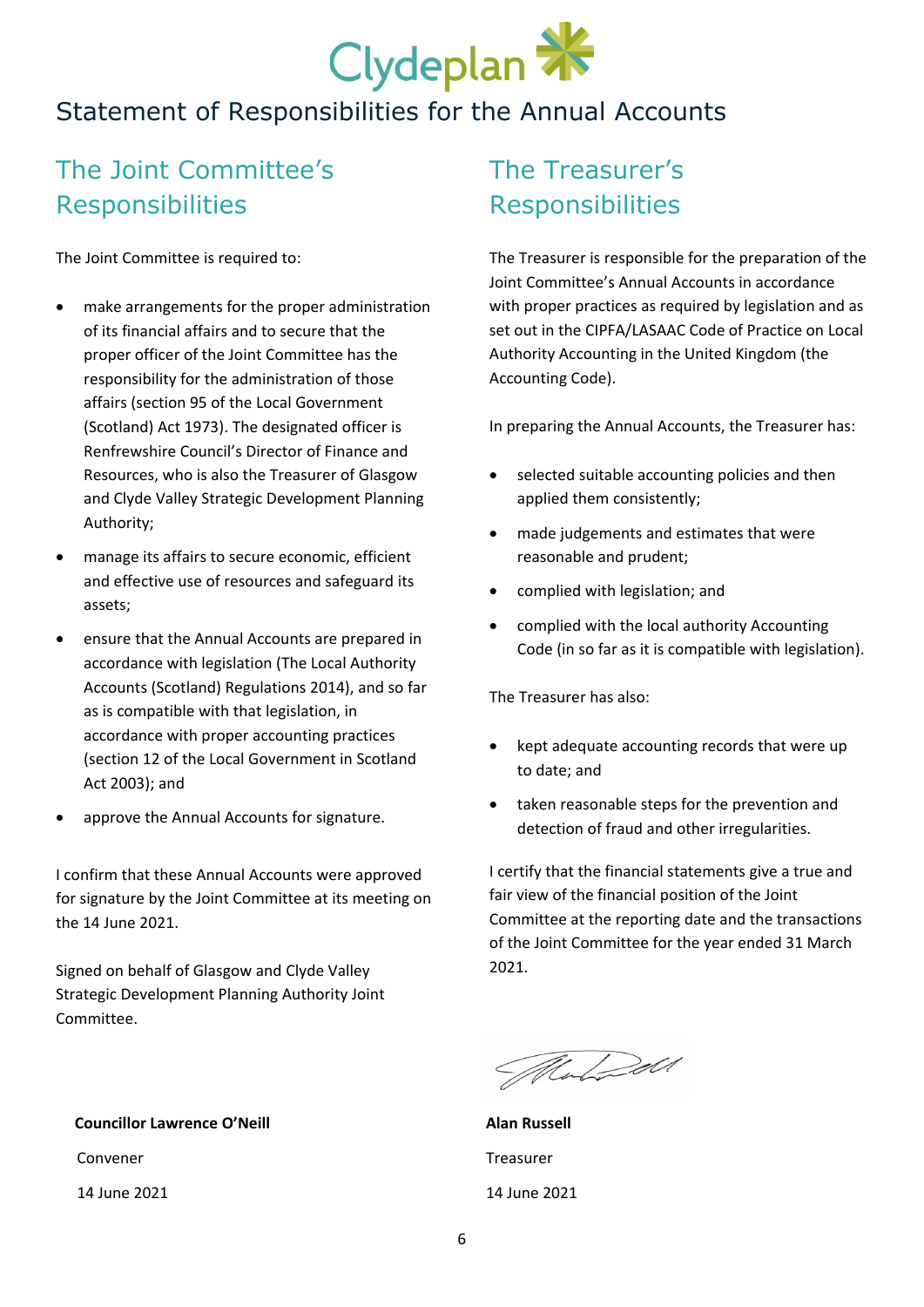

# <span id="page-7-0"></span>Statement of Responsibilities for the Annual Accounts

# The Joint Committee's **Responsibilities**

The Joint Committee is required to:

- make arrangements for the proper administration of its financial affairs and to secure that the proper officer of the Joint Committee has the responsibility for the administration of those affairs (section 95 of the Local Government (Scotland) Act 1973). The designated officer is Renfrewshire Council's Director of Finance and Resources, who is also the Treasurer of Glasgow and Clyde Valley Strategic Development Planning Authority;
- manage its affairs to secure economic, efficient and effective use of resources and safeguard its assets;
- ensure that the Annual Accounts are prepared in accordance with legislation (The Local Authority Accounts (Scotland) Regulations 2014), and so far as is compatible with that legislation, in accordance with proper accounting practices (section 12 of the Local Government in Scotland Act 2003); and
- approve the Annual Accounts for signature.

I confirm that these Annual Accounts were approved for signature by the Joint Committee at its meeting on the 14 June 2021.

Signed on behalf of Glasgow and Clyde Valley Strategic Development Planning Authority Joint Committee.

#### **Councillor Lawrence O'Neill Alan Russell**

Convener **Convener Convener Convener Convener Treasurer** 

#### The Treasurer's Responsibilities

The Treasurer is responsible for the preparation of the Joint Committee's Annual Accounts in accordance with proper practices as required by legislation and as set out in the CIPFA/LASAAC Code of Practice on Local Authority Accounting in the United Kingdom (the Accounting Code).

In preparing the Annual Accounts, the Treasurer has:

- selected suitable accounting policies and then applied them consistently;
- made judgements and estimates that were reasonable and prudent;
- complied with legislation; and
- complied with the local authority Accounting Code (in so far as it is compatible with legislation).

The Treasurer has also:

- kept adequate accounting records that were up to date; and
- taken reasonable steps for the prevention and detection of fraud and other irregularities.

I certify that the financial statements give a true and fair view of the financial position of the Joint Committee at the reporting date and the transactions of the Joint Committee for the year ended 31 March 2021.

Moderald

14 June 2021 14 June 2021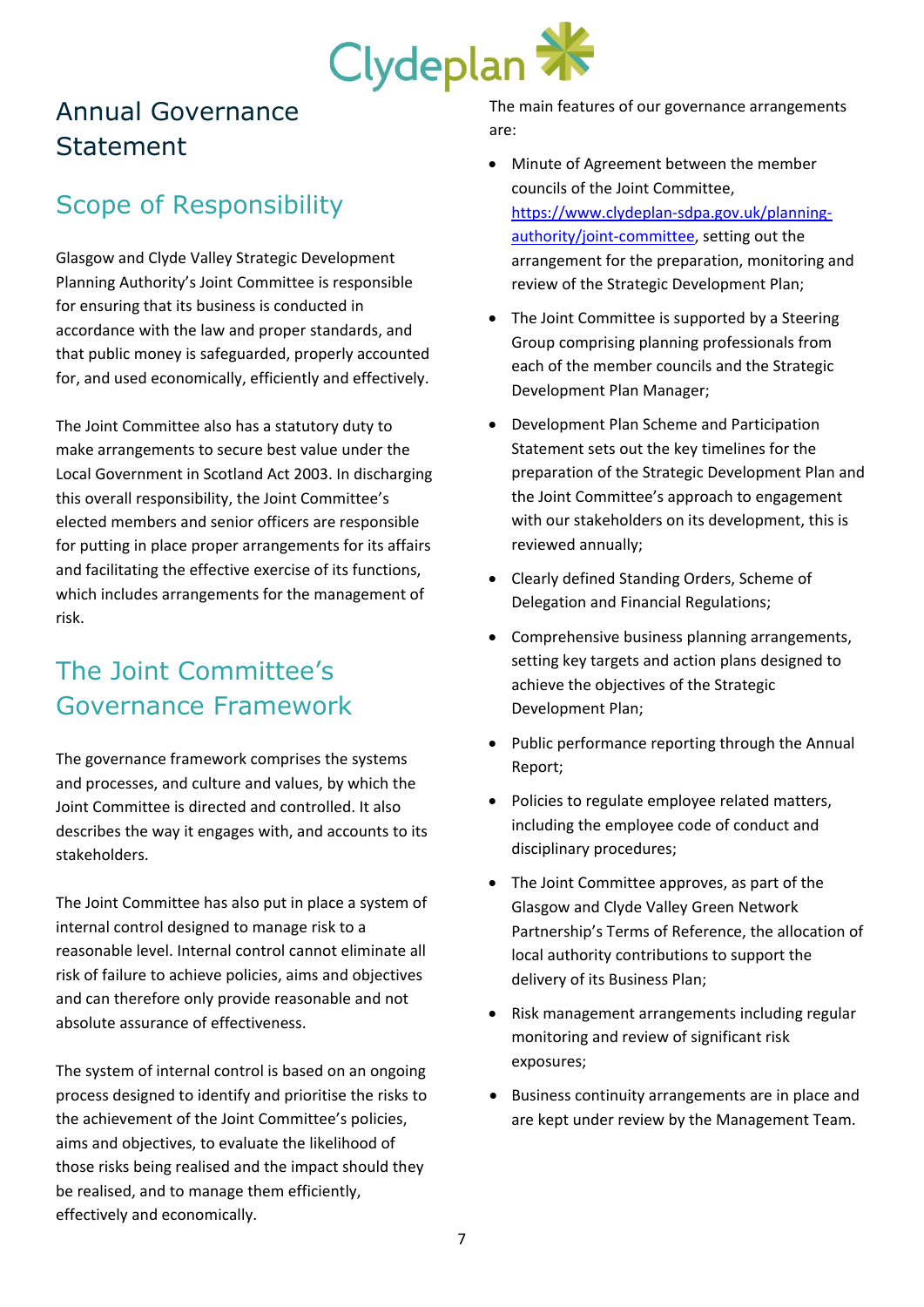

# <span id="page-8-0"></span>Annual Governance Statement

## Scope of Responsibility

Glasgow and Clyde Valley Strategic Development Planning Authority's Joint Committee is responsible for ensuring that its business is conducted in accordance with the law and proper standards, and that public money is safeguarded, properly accounted for, and used economically, efficiently and effectively.

The Joint Committee also has a statutory duty to make arrangements to secure best value under the Local Government in Scotland Act 2003. In discharging this overall responsibility, the Joint Committee's elected members and senior officers are responsible for putting in place proper arrangements for its affairs and facilitating the effective exercise of its functions, which includes arrangements for the management of risk.

# The Joint Committee's Governance Framework

The governance framework comprises the systems and processes, and culture and values, by which the Joint Committee is directed and controlled. It also describes the way it engages with, and accounts to its stakeholders.

The Joint Committee has also put in place a system of internal control designed to manage risk to a reasonable level. Internal control cannot eliminate all risk of failure to achieve policies, aims and objectives and can therefore only provide reasonable and not absolute assurance of effectiveness.

The system of internal control is based on an ongoing process designed to identify and prioritise the risks to the achievement of the Joint Committee's policies, aims and objectives, to evaluate the likelihood of those risks being realised and the impact should they be realised, and to manage them efficiently, effectively and economically.

The main features of our governance arrangements are:

- Minute of Agreement between the member councils of the Joint Committee, [https://www.clydeplan-sdpa.gov.uk/planning](https://www.clydeplan-sdpa.gov.uk/planning-authority/joint-committee)[authority/joint-committee,](https://www.clydeplan-sdpa.gov.uk/planning-authority/joint-committee) setting out the arrangement for the preparation, monitoring and review of the Strategic Development Plan;
- The Joint Committee is supported by a Steering Group comprising planning professionals from each of the member councils and the Strategic Development Plan Manager;
- Development Plan Scheme and Participation Statement sets out the key timelines for the preparation of the Strategic Development Plan and the Joint Committee's approach to engagement with our stakeholders on its development, this is reviewed annually;
- Clearly defined Standing Orders, Scheme of Delegation and Financial Regulations;
- Comprehensive business planning arrangements, setting key targets and action plans designed to achieve the objectives of the Strategic Development Plan;
- Public performance reporting through the Annual Report;
- Policies to regulate employee related matters, including the employee code of conduct and disciplinary procedures;
- The Joint Committee approves, as part of the Glasgow and Clyde Valley Green Network Partnership's Terms of Reference, the allocation of local authority contributions to support the delivery of its Business Plan;
- Risk management arrangements including regular monitoring and review of significant risk exposures;
- Business continuity arrangements are in place and are kept under review by the Management Team.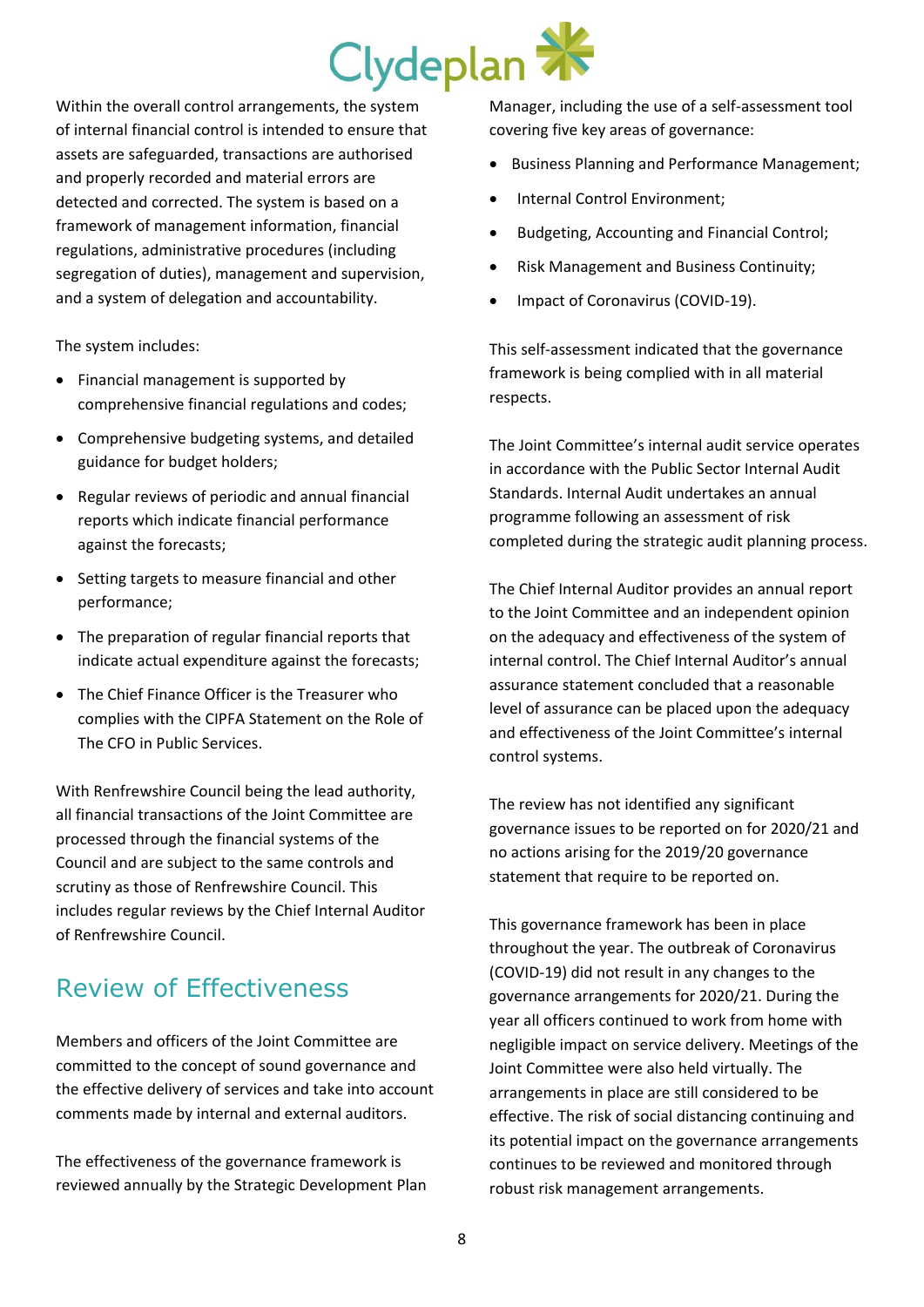# Clydeplan

Within the overall control arrangements, the system of internal financial control is intended to ensure that assets are safeguarded, transactions are authorised and properly recorded and material errors are detected and corrected. The system is based on a framework of management information, financial regulations, administrative procedures (including segregation of duties), management and supervision, and a system of delegation and accountability.

The system includes:

- Financial management is supported by comprehensive financial regulations and codes;
- Comprehensive budgeting systems, and detailed guidance for budget holders;
- Regular reviews of periodic and annual financial reports which indicate financial performance against the forecasts;
- Setting targets to measure financial and other performance;
- The preparation of regular financial reports that indicate actual expenditure against the forecasts;
- The Chief Finance Officer is the Treasurer who complies with the CIPFA Statement on the Role of The CFO in Public Services.

With Renfrewshire Council being the lead authority, all financial transactions of the Joint Committee are processed through the financial systems of the Council and are subject to the same controls and scrutiny as those of Renfrewshire Council. This includes regular reviews by the Chief Internal Auditor of Renfrewshire Council.

# Review of Effectiveness

Members and officers of the Joint Committee are committed to the concept of sound governance and the effective delivery of services and take into account comments made by internal and external auditors.

The effectiveness of the governance framework is reviewed annually by the Strategic Development Plan

Manager, including the use of a self-assessment tool covering five key areas of governance:

- Business Planning and Performance Management;
- Internal Control Environment;
- Budgeting, Accounting and Financial Control;
- Risk Management and Business Continuity;
- Impact of Coronavirus (COVID-19).

This self-assessment indicated that the governance framework is being complied with in all material respects.

The Joint Committee's internal audit service operates in accordance with the Public Sector Internal Audit Standards. Internal Audit undertakes an annual programme following an assessment of risk completed during the strategic audit planning process.

The Chief Internal Auditor provides an annual report to the Joint Committee and an independent opinion on the adequacy and effectiveness of the system of internal control. The Chief Internal Auditor's annual assurance statement concluded that a reasonable level of assurance can be placed upon the adequacy and effectiveness of the Joint Committee's internal control systems.

The review has not identified any significant governance issues to be reported on for 2020/21 and no actions arising for the 2019/20 governance statement that require to be reported on.

This governance framework has been in place throughout the year. The outbreak of Coronavirus (COVID-19) did not result in any changes to the governance arrangements for 2020/21. During the year all officers continued to work from home with negligible impact on service delivery. Meetings of the Joint Committee were also held virtually. The arrangements in place are still considered to be effective. The risk of social distancing continuing and its potential impact on the governance arrangements continues to be reviewed and monitored through robust risk management arrangements.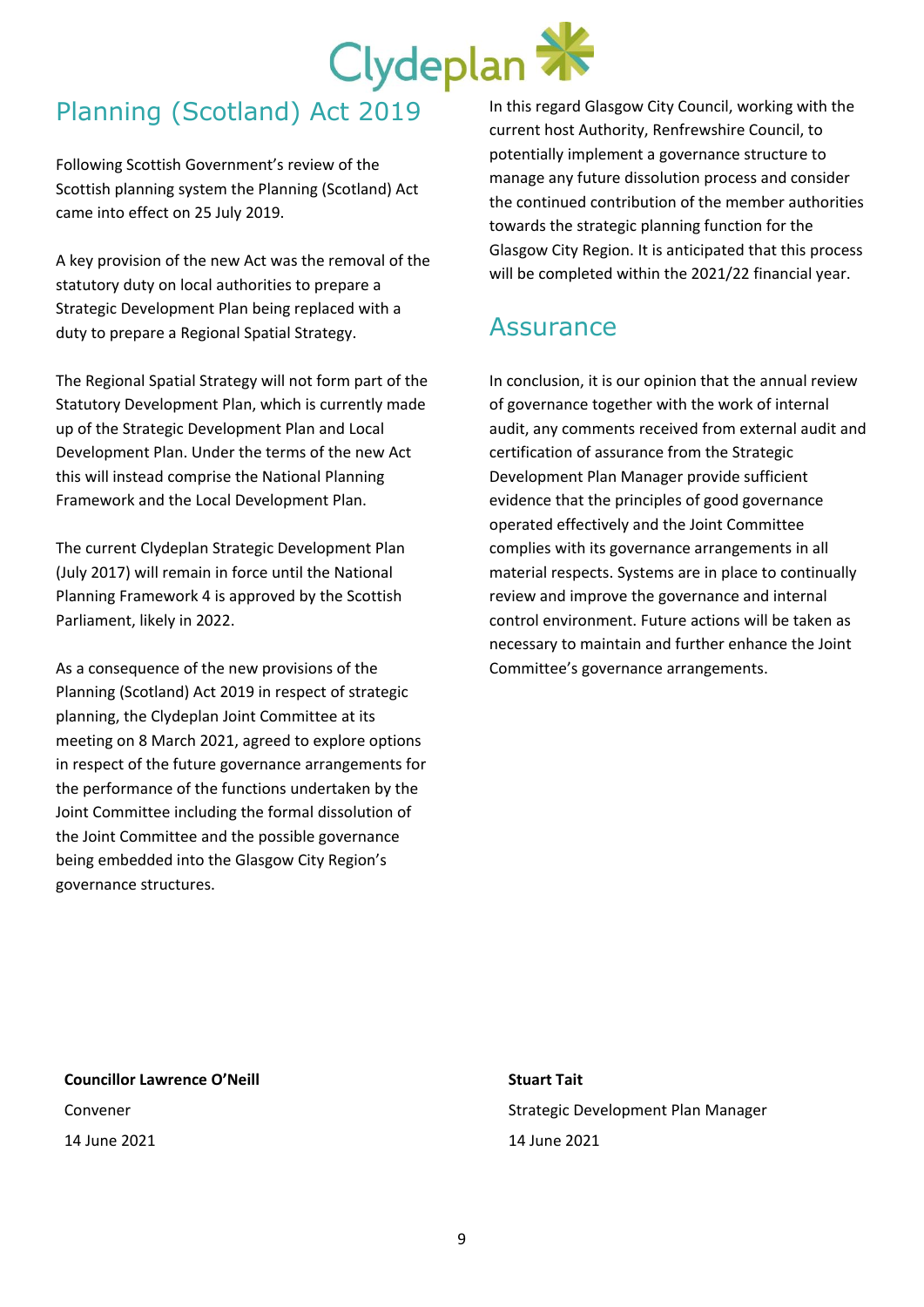

# Planning (Scotland) Act 2019

Following Scottish Government's review of the Scottish planning system the Planning (Scotland) Act came into effect on 25 July 2019.

A key provision of the new Act was the removal of the statutory duty on local authorities to prepare a Strategic Development Plan being replaced with a duty to prepare a Regional Spatial Strategy.

The Regional Spatial Strategy will not form part of the Statutory Development Plan, which is currently made up of the Strategic Development Plan and Local Development Plan. Under the terms of the new Act this will instead comprise the National Planning Framework and the Local Development Plan.

The current Clydeplan Strategic Development Plan (July 2017) will remain in force until the National Planning Framework 4 is approved by the Scottish Parliament, likely in 2022.

As a consequence of the new provisions of the Planning (Scotland) Act 2019 in respect of strategic planning, the Clydeplan Joint Committee at its meeting on 8 March 2021, agreed to explore options in respect of the future governance arrangements for the performance of the functions undertaken by the Joint Committee including the formal dissolution of the Joint Committee and the possible governance being embedded into the Glasgow City Region's governance structures.

In this regard Glasgow City Council, working with the current host Authority, Renfrewshire Council, to potentially implement a governance structure to manage any future dissolution process and consider the continued contribution of the member authorities towards the strategic planning function for the Glasgow City Region. It is anticipated that this process will be completed within the 2021/22 financial year.

#### **Assurance**

In conclusion, it is our opinion that the annual review of governance together with the work of internal audit, any comments received from external audit and certification of assurance from the Strategic Development Plan Manager provide sufficient evidence that the principles of good governance operated effectively and the Joint Committee complies with its governance arrangements in all material respects. Systems are in place to continually review and improve the governance and internal control environment. Future actions will be taken as necessary to maintain and further enhance the Joint Committee's governance arrangements.

**Councillor Lawrence O'Neill Stuart Tait** 14 June 2021 14 June 2021

Convener Strategic Development Plan Manager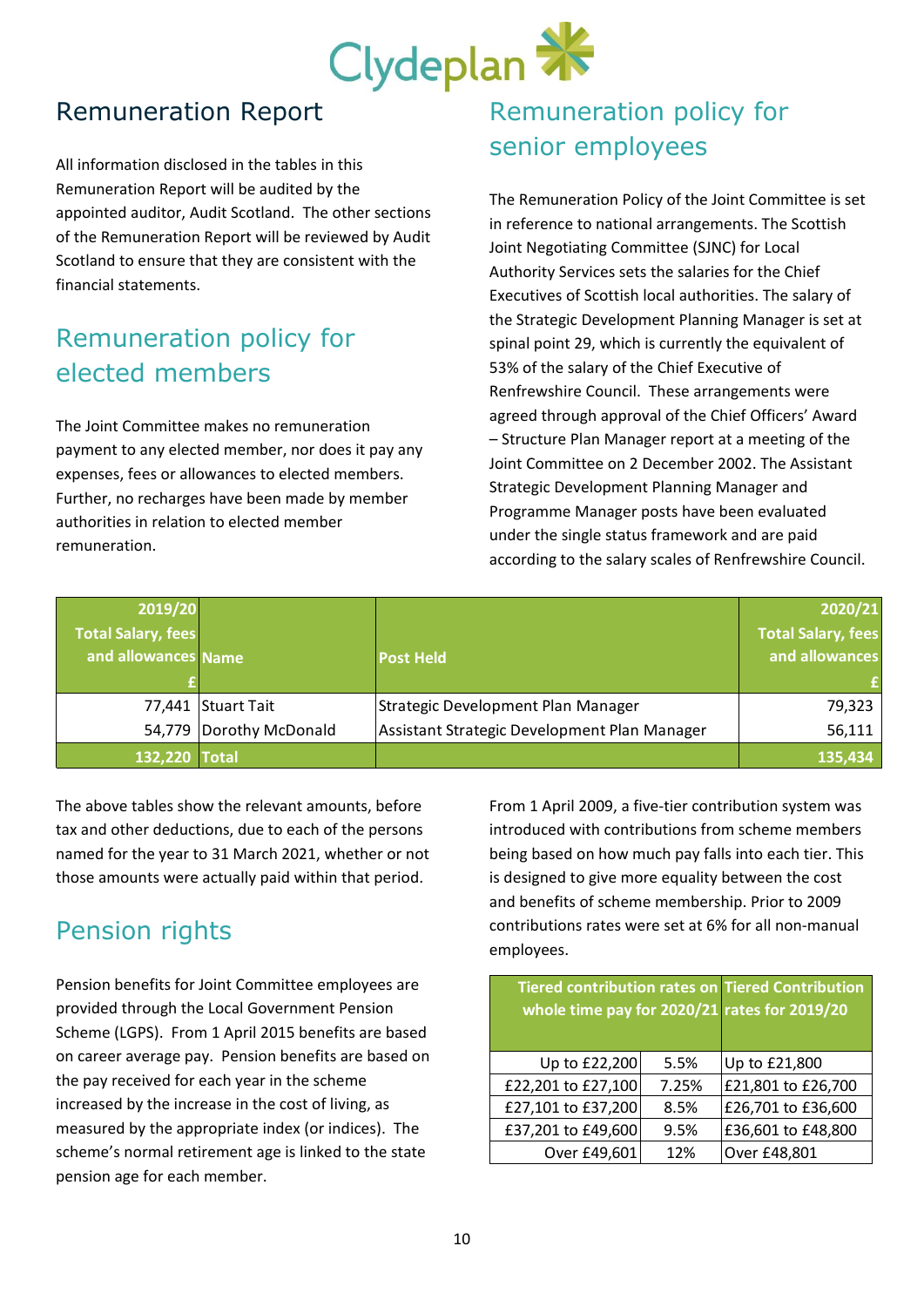

#### <span id="page-11-0"></span>Remuneration Report

All information disclosed in the tables in this Remuneration Report will be audited by the appointed auditor, Audit Scotland. The other sections of the Remuneration Report will be reviewed by Audit Scotland to ensure that they are consistent with the financial statements.

# Remuneration policy for elected members

The Joint Committee makes no remuneration payment to any elected member, nor does it pay any expenses, fees or allowances to elected members. Further, no recharges have been made by member authorities in relation to elected member remuneration.

# Remuneration policy for senior employees

The Remuneration Policy of the Joint Committee is set in reference to national arrangements. The Scottish Joint Negotiating Committee (SJNC) for Local Authority Services sets the salaries for the Chief Executives of Scottish local authorities. The salary of the Strategic Development Planning Manager is set at spinal point 29, which is currently the equivalent of 53% of the salary of the Chief Executive of Renfrewshire Council. These arrangements were agreed through approval of the Chief Officers' Award – Structure Plan Manager report at a meeting of the Joint Committee on 2 December 2002. The Assistant Strategic Development Planning Manager and Programme Manager posts have been evaluated under the single status framework and are paid according to the salary scales of Renfrewshire Council.

| 2019/20<br><b>Total Salary, fees</b><br>and allowances Name |                         | <b>Post Held</b>                             | 2020/21<br><b>Total Salary, fees</b><br>and allowances |
|-------------------------------------------------------------|-------------------------|----------------------------------------------|--------------------------------------------------------|
|                                                             | 77,441 Stuart Tait      | Strategic Development Plan Manager           | 79,323                                                 |
|                                                             | 54,779 Dorothy McDonald | Assistant Strategic Development Plan Manager | 56,111                                                 |
| 132,220 Total                                               |                         |                                              | 135,434                                                |
|                                                             |                         |                                              |                                                        |

The above tables show the relevant amounts, before tax and other deductions, due to each of the persons named for the year to 31 March 2021, whether or not those amounts were actually paid within that period.

# Pension rights

Pension benefits for Joint Committee employees are provided through the Local Government Pension Scheme (LGPS). From 1 April 2015 benefits are based on career average pay. Pension benefits are based on the pay received for each year in the scheme increased by the increase in the cost of living, as measured by the appropriate index (or indices). The scheme's normal retirement age is linked to the state pension age for each member.

From 1 April 2009, a five-tier contribution system was introduced with contributions from scheme members being based on how much pay falls into each tier. This is designed to give more equality between the cost and benefits of scheme membership. Prior to 2009 contributions rates were set at 6% for all non-manual employees.

| <b>Tiered contribution rates on Tiered Contribution</b><br>whole time pay for 2020/21 rates for 2019/20 |       |                    |
|---------------------------------------------------------------------------------------------------------|-------|--------------------|
| Up to £22,200                                                                                           | 5.5%  | Up to £21,800      |
| £22,201 to £27,100                                                                                      | 7.25% | £21,801 to £26,700 |
| £27,101 to £37,200                                                                                      | 8.5%  | £26,701 to £36,600 |
| £37,201 to £49,600                                                                                      | 9.5%  | £36,601 to £48,800 |
| Over £49,601                                                                                            | 12%   | Over £48,801       |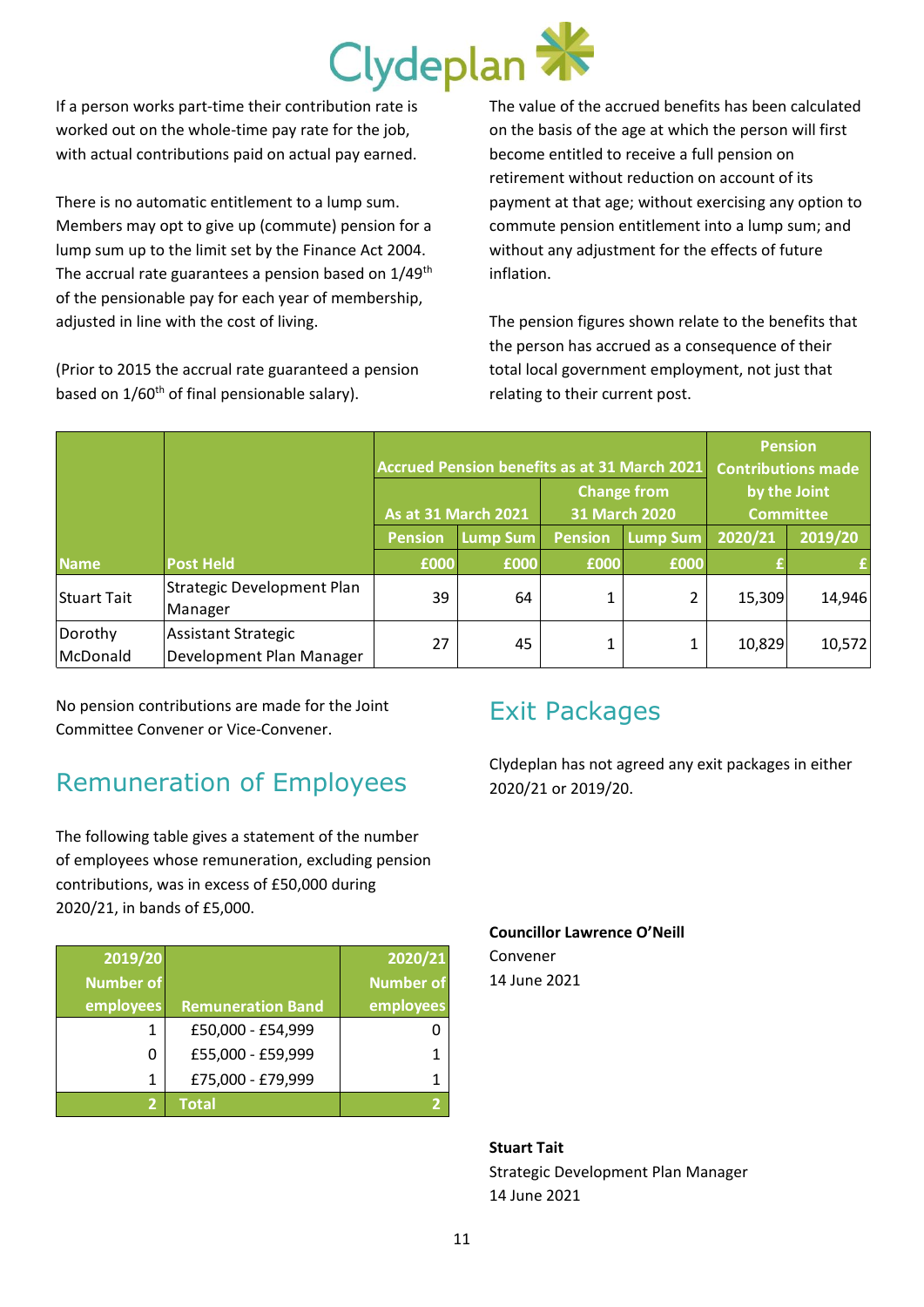# Clydeplan'

If a person works part-time their contribution rate is worked out on the whole-time pay rate for the job, with actual contributions paid on actual pay earned.

There is no automatic entitlement to a lump sum. Members may opt to give up (commute) pension for a lump sum up to the limit set by the Finance Act 2004. The accrual rate guarantees a pension based on 1/49<sup>th</sup> of the pensionable pay for each year of membership, adjusted in line with the cost of living.

(Prior to 2015 the accrual rate guaranteed a pension based on  $1/60^{th}$  of final pensionable salary).

The value of the accrued benefits has been calculated on the basis of the age at which the person will first become entitled to receive a full pension on retirement without reduction on account of its payment at that age; without exercising any option to commute pension entitlement into a lump sum; and without any adjustment for the effects of future inflation.

The pension figures shown relate to the benefits that the person has accrued as a consequence of their total local government employment, not just that relating to their current post.

|                     |                                                        | Accrued Pension benefits as at 31 March 2021<br><b>Change from</b><br><b>As at 31 March 2021</b><br>31 March 2020 |      |                | <b>Pension</b><br><b>Contributions made</b><br>by the Joint<br><b>Committee</b> |         |         |
|---------------------|--------------------------------------------------------|-------------------------------------------------------------------------------------------------------------------|------|----------------|---------------------------------------------------------------------------------|---------|---------|
|                     |                                                        | Lump Sum<br><b>Pension</b>                                                                                        |      | <b>Pension</b> | <b>Lump Sum</b>                                                                 | 2020/21 | 2019/20 |
| <b>Name</b>         | <b>Post Held</b>                                       | £000                                                                                                              | £000 | £000           | £000                                                                            |         |         |
| <b>Stuart Tait</b>  | Strategic Development Plan<br>Manager                  | 39                                                                                                                | 64   |                | 2                                                                               | 15,309  | 14,946  |
| Dorothy<br>McDonald | <b>Assistant Strategic</b><br>Development Plan Manager | 27                                                                                                                | 45   |                |                                                                                 | 10,829  | 10,572  |

No pension contributions are made for the Joint Committee Convener or Vice-Convener.

# Remuneration of Employees

The following table gives a statement of the number of employees whose remuneration, excluding pension contributions, was in excess of £50,000 during 2020/21, in bands of £5,000.

<span id="page-12-0"></span>

| 2019/20          |                          | 2020/21          |
|------------------|--------------------------|------------------|
| <b>Number of</b> |                          | <b>Number of</b> |
| employees        | <b>Remuneration Band</b> | employees        |
| 1                | £50,000 - £54,999        |                  |
| 0                | £55,000 - £59,999        |                  |
| 1                | £75,000 - £79,999        |                  |
| 2                | <b>Total</b>             |                  |

#### Exit Packages

Clydeplan has not agreed any exit packages in either 2020/21 or 2019/20.

**Councillor Lawrence O'Neill** Convener

14 June 2021

#### **Stuart Tait**

Strategic Development Plan Manager 14 June 2021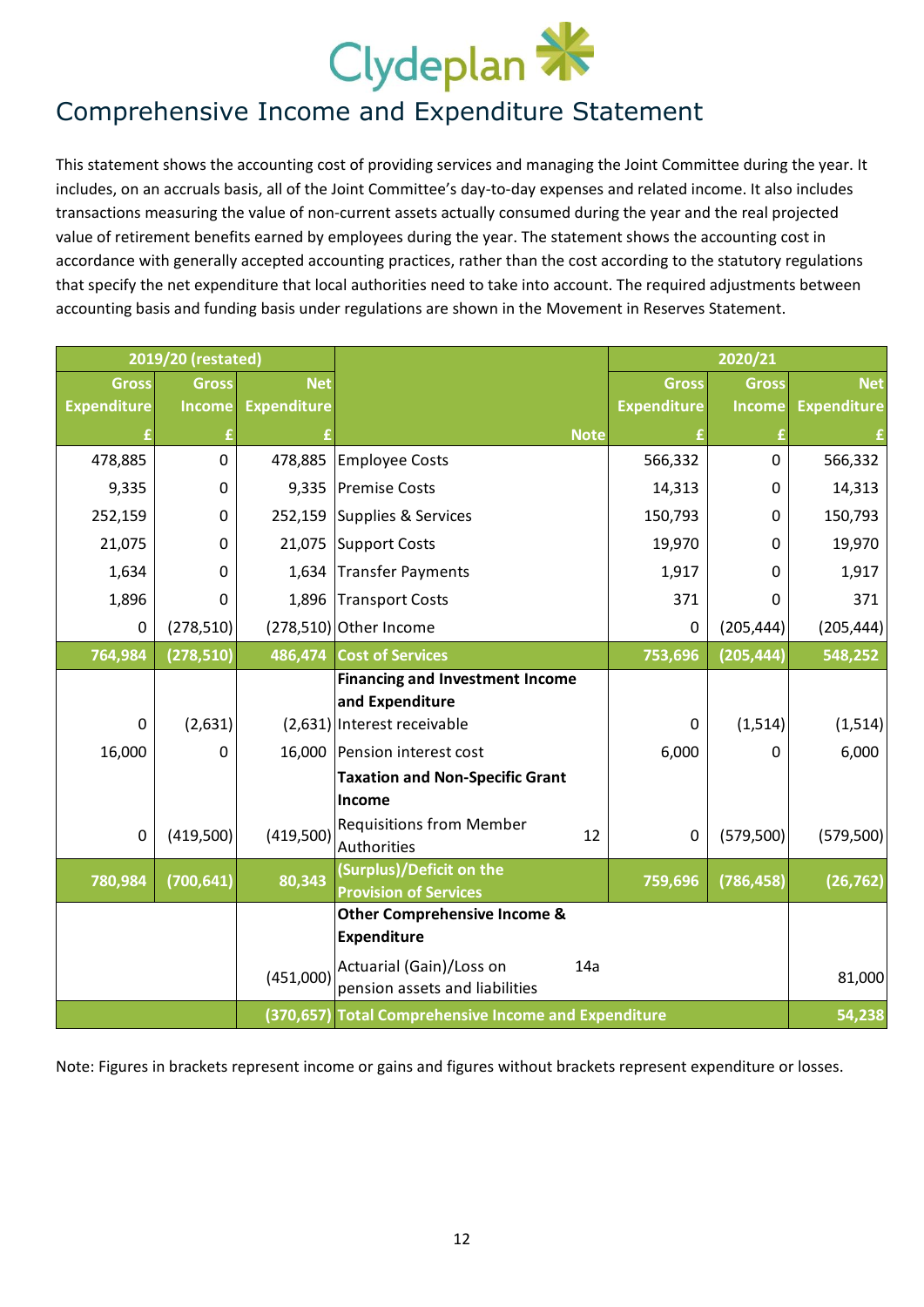

#### <span id="page-13-0"></span>Comprehensive Income and Expenditure Statement

This statement shows the accounting cost of providing services and managing the Joint Committee during the year. It includes, on an accruals basis, all of the Joint Committee's day-to-day expenses and related income. It also includes transactions measuring the value of non-current assets actually consumed during the year and the real projected value of retirement benefits earned by employees during the year. The statement shows the accounting cost in accordance with generally accepted accounting practices, rather than the cost according to the statutory regulations that specify the net expenditure that local authorities need to take into account. The required adjustments between accounting basis and funding basis under regulations are shown in the Movement in Reserves Statement.

|                    | 2019/20 (restated)  |                    |                                                                                                                                                             |                    | 2020/21                  |                    |
|--------------------|---------------------|--------------------|-------------------------------------------------------------------------------------------------------------------------------------------------------------|--------------------|--------------------------|--------------------|
| <b>Gross</b>       | <b>Gross</b>        | <b>Net</b>         |                                                                                                                                                             | <b>Gross</b>       | <b>Gross</b>             | <b>Net</b>         |
| <b>Expenditure</b> | Income              | <b>Expenditure</b> |                                                                                                                                                             | <b>Expenditure</b> | <b>Income</b>            | <b>Expenditure</b> |
|                    |                     |                    | <b>Note</b>                                                                                                                                                 |                    |                          |                    |
| 478,885            | $\overline{0}$      | 478,885            | <b>Employee Costs</b>                                                                                                                                       | 566,332            | $\Omega$                 | 566,332            |
| 9,335              | 0                   | 9,335              | <b>Premise Costs</b>                                                                                                                                        | 14,313             | $\mathbf{0}$             | 14,313             |
| 252,159            | 0                   | 252,159            | Supplies & Services                                                                                                                                         | 150,793            | $\mathbf 0$              | 150,793            |
| 21,075             | $\mathbf 0$         | 21,075             | Support Costs                                                                                                                                               | 19,970             | 0                        | 19,970             |
| 1,634              | $\mathbf 0$         | 1,634              | <b>Transfer Payments</b>                                                                                                                                    | 1,917              | $\mathbf{0}$             | 1,917              |
| 1,896              | $\overline{0}$      | 1,896              | Transport Costs                                                                                                                                             | 371                | 0                        | 371                |
| 0                  | (278, 510)          |                    | $(278,510)$ Other Income                                                                                                                                    | 0                  | (205, 444)               | (205, 444)         |
| 764,984            | (278, 510)          |                    | 486,474 Cost of Services                                                                                                                                    | 753,696            | (205, 444)               | 548,252            |
| 0<br>16,000        | (2,631)<br>$\Omega$ | 16,000             | <b>Financing and Investment Income</b><br>and Expenditure<br>(2,631) Interest receivable<br>Pension interest cost<br><b>Taxation and Non-Specific Grant</b> | 0<br>6,000         | (1, 514)<br><sup>0</sup> | (1, 514)<br>6,000  |
| $\mathbf 0$        | (419,500)           | (419,500)          | Income<br><b>Requisitions from Member</b><br>12<br>Authorities                                                                                              | 0                  | (579, 500)               | (579,500)          |
| 780,984            | (700, 641)          | 80,343             | (Surplus)/Deficit on the<br><b>Provision of Services</b>                                                                                                    | 759,696            | (786, 458)               | (26, 762)          |
|                    |                     | (451,000)          | <b>Other Comprehensive Income &amp;</b><br><b>Expenditure</b><br>Actuarial (Gain)/Loss on<br>14a<br>pension assets and liabilities                          |                    |                          | 81,000             |
|                    |                     |                    | (370,657) Total Comprehensive Income and Expenditure                                                                                                        |                    |                          | 54,238             |
|                    |                     |                    |                                                                                                                                                             |                    |                          |                    |

Note: Figures in brackets represent income or gains and figures without brackets represent expenditure or losses.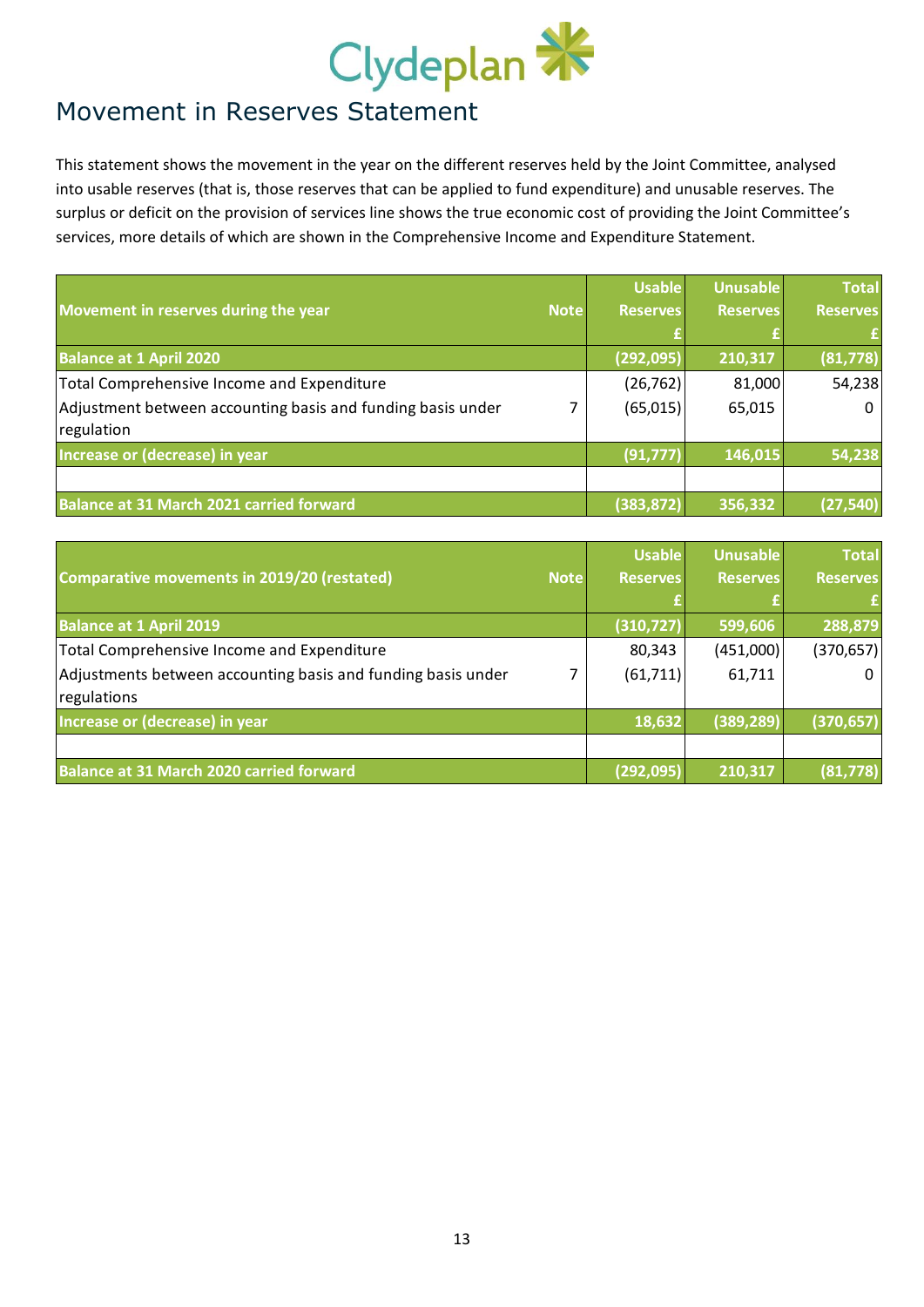

#### <span id="page-14-0"></span>Movement in Reserves Statement

This statement shows the movement in the year on the different reserves held by the Joint Committee, analysed into usable reserves (that is, those reserves that can be applied to fund expenditure) and unusable reserves. The surplus or deficit on the provision of services line shows the true economic cost of providing the Joint Committee's services, more details of which are shown in the Comprehensive Income and Expenditure Statement.

|                                                             |             | <b>Usable</b>   | <b>Unusable</b> | <b>Total</b>    |
|-------------------------------------------------------------|-------------|-----------------|-----------------|-----------------|
| Movement in reserves during the year                        | <b>Note</b> | <b>Reserves</b> | <b>Reserves</b> | <b>Reserves</b> |
|                                                             |             |                 |                 | £               |
| <b>Balance at 1 April 2020</b>                              |             | (292,095)       | 210,317         | (81, 778)       |
| Total Comprehensive Income and Expenditure                  |             | (26, 762)       | 81,000          | 54,238          |
| Adjustment between accounting basis and funding basis under |             | (65,015)        | 65,015          | 0               |
| regulation                                                  |             |                 |                 |                 |
| Increase or (decrease) in year                              |             | (91, 777)       | 146,015         | 54,238          |
|                                                             |             |                 |                 |                 |
| Balance at 31 March 2021 carried forward                    |             | (383, 872)      | 356,332         | (27, 540)       |

| Comparative movements in 2019/20 (restated)                                 | <b>Note</b> | <b>Usable</b><br><b>Reserves</b> | <b>Unusable</b><br><b>Reserves</b> | <b>Total</b><br><b>Reserves</b> |
|-----------------------------------------------------------------------------|-------------|----------------------------------|------------------------------------|---------------------------------|
|                                                                             |             |                                  |                                    |                                 |
| <b>Balance at 1 April 2019</b>                                              |             | (310, 727)                       | 599,606                            | 288,879                         |
| Total Comprehensive Income and Expenditure                                  |             | 80,343                           | (451,000)                          | (370, 657)                      |
| Adjustments between accounting basis and funding basis under<br>regulations |             | (61, 711)                        | 61,711                             | $\Omega$                        |
| Increase or (decrease) in year                                              |             | 18,632                           | (389, 289)                         | (370, 657)                      |
|                                                                             |             |                                  |                                    |                                 |
| Balance at 31 March 2020 carried forward                                    |             | (292, 095)                       | 210,317                            | (81, 778)                       |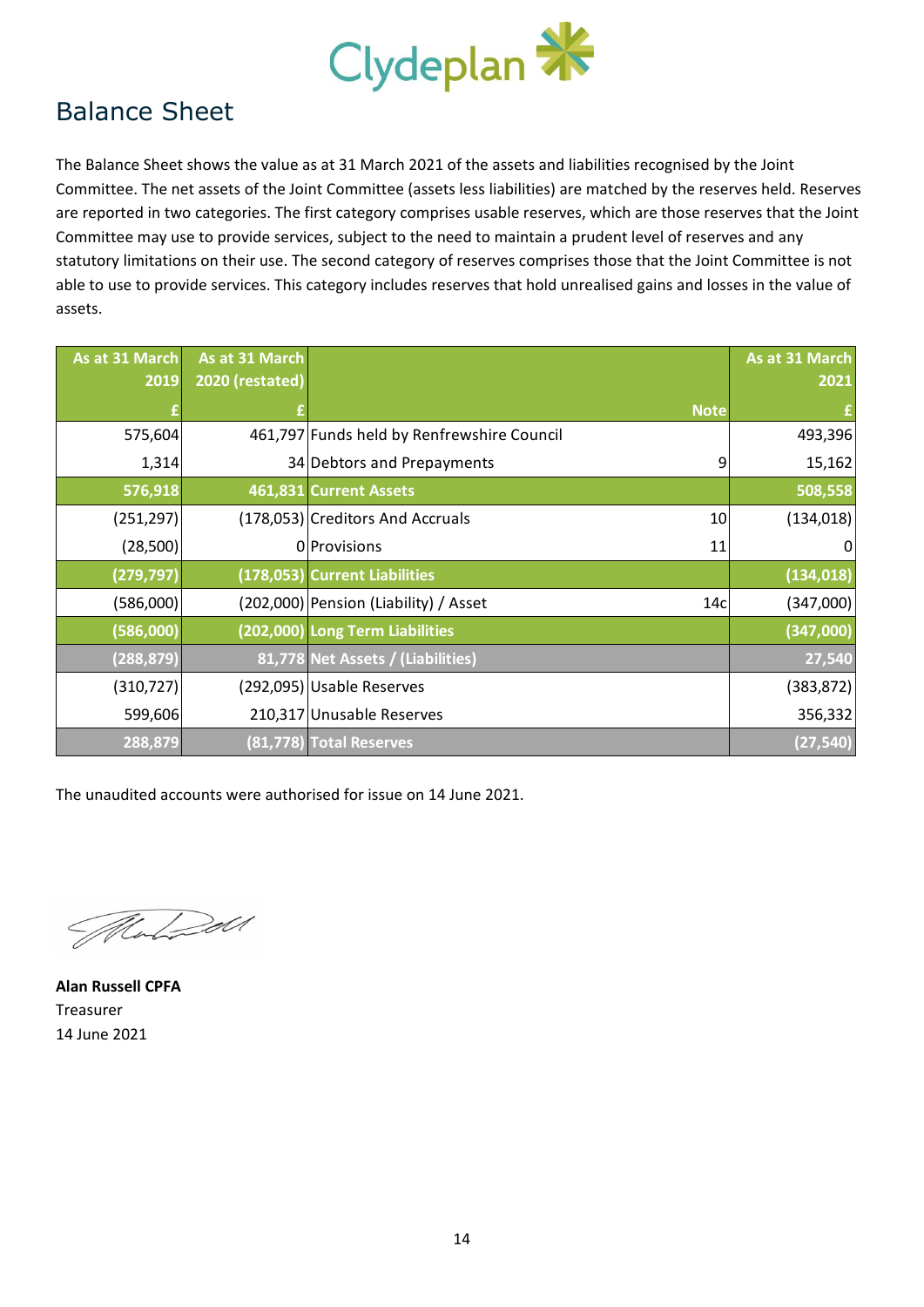

#### <span id="page-15-0"></span>Balance Sheet

The Balance Sheet shows the value as at 31 March 2021 of the assets and liabilities recognised by the Joint Committee. The net assets of the Joint Committee (assets less liabilities) are matched by the reserves held. Reserves are reported in two categories. The first category comprises usable reserves, which are those reserves that the Joint Committee may use to provide services, subject to the need to maintain a prudent level of reserves and any statutory limitations on their use. The second category of reserves comprises those that the Joint Committee is not able to use to provide services. This category includes reserves that hold unrealised gains and losses in the value of assets.

| As at 31 March<br>2019 | As at 31 March<br>2020 (restated) |                                              | As at 31 March<br>2021 |
|------------------------|-----------------------------------|----------------------------------------------|------------------------|
|                        |                                   | <b>Note</b>                                  |                        |
| 575,604                |                                   | 461,797 Funds held by Renfrewshire Council   | 493,396                |
| 1,314                  |                                   | 34 Debtors and Prepayments<br>9              | 15,162                 |
| 576,918                |                                   | 461,831 Current Assets                       | 508,558                |
| (251, 297)             |                                   | (178,053) Creditors And Accruals<br>10       | (134, 018)             |
| (28, 500)              |                                   | 0 Provisions<br>11                           | 0                      |
| (279, 797)             |                                   | (178,053) Current Liabilities                | (134, 018)             |
| (586,000)              |                                   | (202,000) Pension (Liability) / Asset<br>14c | (347,000)              |
| (586,000)              |                                   | (202,000) Long Term Liabilities              | (347,000)              |
| (288, 879)             |                                   | 81,778 Net Assets / (Liabilities)            | 27,540                 |
| (310, 727)             |                                   | (292,095) Usable Reserves                    | (383, 872)             |
| 599,606                |                                   | 210,317 Unusable Reserves                    | 356,332                |
| 288,879                |                                   | (81,778) Total Reserves                      | (27, 540)              |
|                        |                                   |                                              |                        |

The unaudited accounts were authorised for issue on 14 June 2021.

Noted

**Alan Russell CPFA** Treasurer 14 June 2021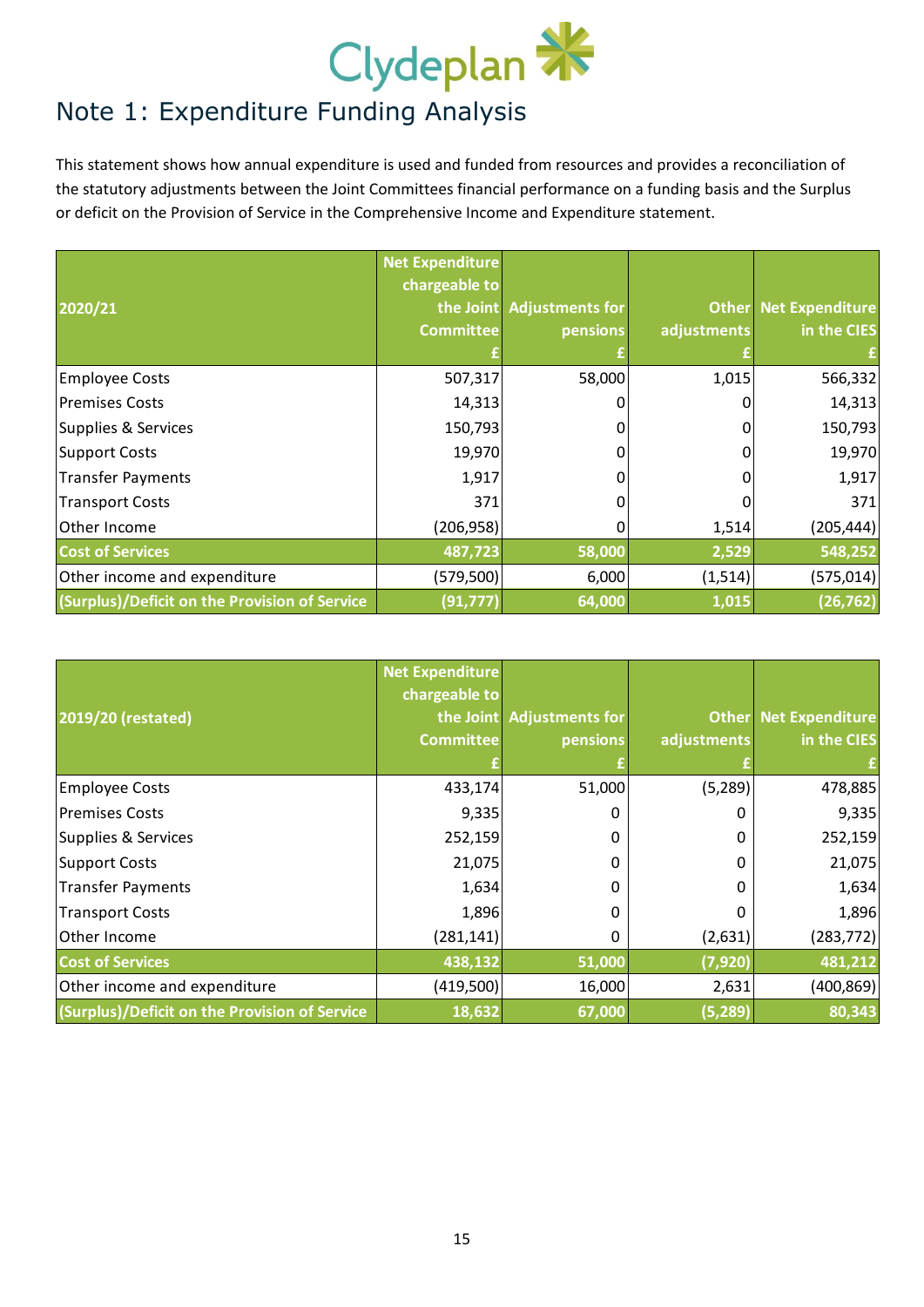

<span id="page-16-0"></span>This statement shows how annual expenditure is used and funded from resources and provides a reconciliation of the statutory adjustments between the Joint Committees financial performance on a funding basis and the Surplus or deficit on the Provision of Service in the Comprehensive Income and Expenditure statement.

|                                               | <b>Net Expenditure</b> |                           |             |                              |
|-----------------------------------------------|------------------------|---------------------------|-------------|------------------------------|
|                                               | chargeable to          |                           |             |                              |
| 2020/21                                       |                        | the Joint Adjustments for |             | <b>Other Net Expenditure</b> |
|                                               | <b>Committee</b>       | pensions                  | adjustments | in the CIES                  |
|                                               |                        |                           |             |                              |
| <b>Employee Costs</b>                         | 507,317                | 58,000                    | 1,015       | 566,332                      |
| <b>Premises Costs</b>                         | 14,313                 |                           |             | 14,313                       |
| Supplies & Services                           | 150,793                |                           |             | 150,793                      |
| Support Costs                                 | 19,970                 |                           |             | 19,970                       |
| Transfer Payments                             | 1,917                  | ŋ                         |             | 1,917                        |
| Transport Costs                               | 371                    |                           |             | 371                          |
| Other Income                                  | (206, 958)             |                           | 1,514       | (205, 444)                   |
| <b>Cost of Services</b>                       | 487,723                | 58,000                    | 2,529       | 548,252                      |
| Other income and expenditure                  | (579, 500)             | 6,000                     | (1,514)     | (575, 014)                   |
| (Surplus)/Deficit on the Provision of Service | (91, 777)              | 64,000                    | 1,015       | (26, 762)                    |

|                                               | <b>Net Expenditure</b><br>chargeable to |                           |             |                              |
|-----------------------------------------------|-----------------------------------------|---------------------------|-------------|------------------------------|
| 2019/20 (restated)                            |                                         | the Joint Adjustments for |             | <b>Other Net Expenditure</b> |
|                                               | <b>Committee</b>                        | pensions                  | adjustments | in the CIES                  |
|                                               |                                         |                           |             |                              |
| <b>Employee Costs</b>                         | 433,174                                 | 51,000                    | (5,289)     | 478,885                      |
| <b>Premises Costs</b>                         | 9,335                                   |                           | 0           | 9,335                        |
| Supplies & Services                           | 252,159                                 |                           | 0           | 252,159                      |
| Support Costs                                 | 21,075                                  |                           | 0           | 21,075                       |
| Transfer Payments                             | 1,634                                   |                           | 0           | 1,634                        |
| <b>Transport Costs</b>                        | 1,896                                   | O                         | 0           | 1,896                        |
| Other Income                                  | (281, 141)                              | 0                         | (2,631)     | (283, 772)                   |
| <b>Cost of Services</b>                       | 438,132                                 | 51,000                    | (7, 920)    | 481,212                      |
| Other income and expenditure                  | (419,500)                               | 16,000                    | 2,631       | (400, 869)                   |
| (Surplus)/Deficit on the Provision of Service | 18,632                                  | 67,000                    | (5, 289)    | 80,343                       |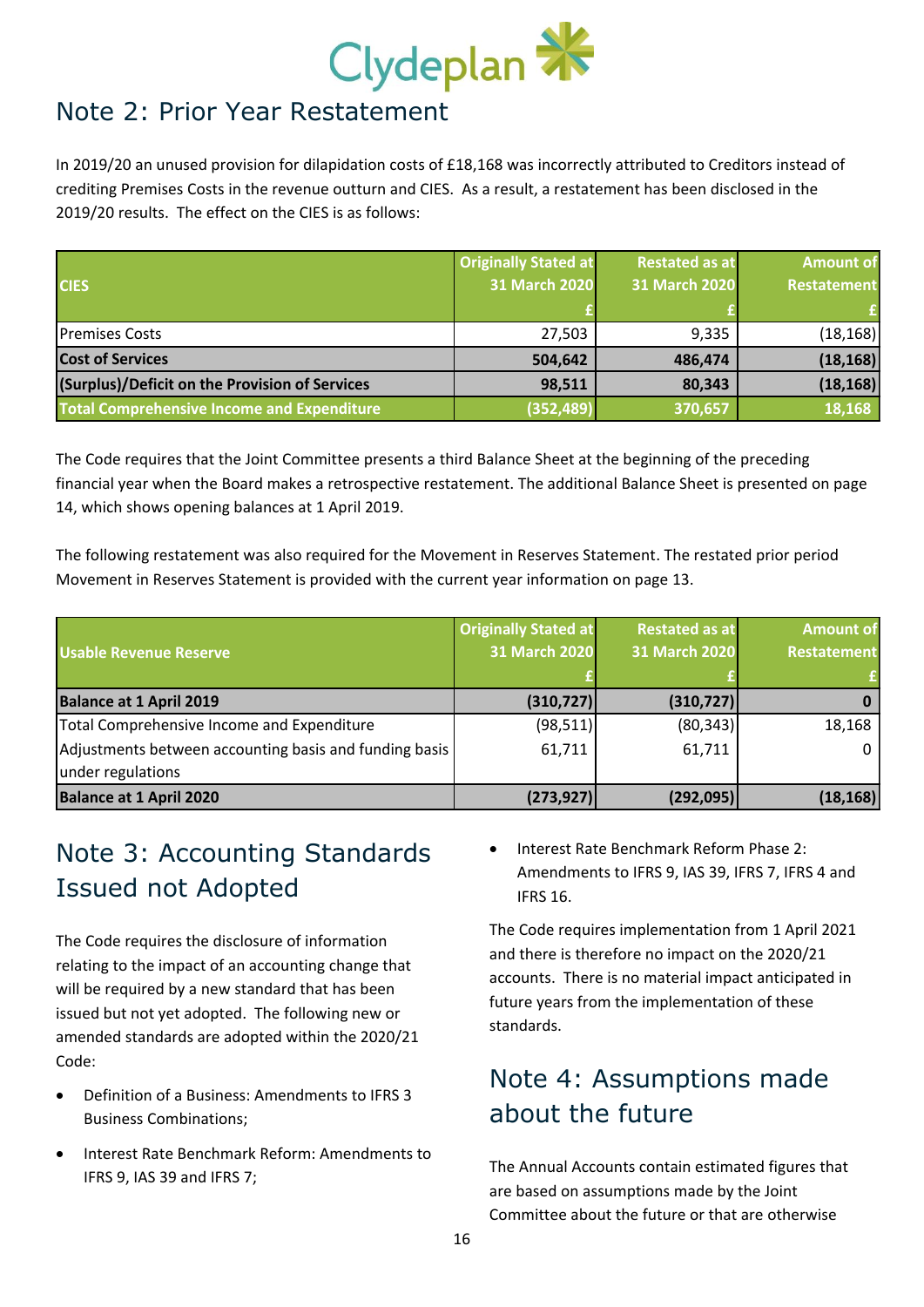

#### <span id="page-17-0"></span>Note 2: Prior Year Restatement

In 2019/20 an unused provision for dilapidation costs of £18,168 was incorrectly attributed to Creditors instead of crediting Premises Costs in the revenue outturn and CIES. As a result, a restatement has been disclosed in the 2019/20 results. The effect on the CIES is as follows:

| <b>CIES</b>                                       | <b>Originally Stated at</b><br><b>31 March 2020</b> | <b>Restated as at</b><br><b>31 March 2020</b> | <b>Amount of</b><br>Restatement |
|---------------------------------------------------|-----------------------------------------------------|-----------------------------------------------|---------------------------------|
|                                                   |                                                     |                                               |                                 |
| <b>Premises Costs</b>                             | 27,503                                              | 9,335                                         | (18, 168)                       |
| <b>Cost of Services</b>                           | 504,642                                             | 486,474                                       | (18, 168)                       |
| (Surplus)/Deficit on the Provision of Services    | 98,511                                              | 80,343                                        | (18, 168)                       |
| <b>Total Comprehensive Income and Expenditure</b> | (352, 489)                                          | 370,657                                       | 18,168                          |
|                                                   |                                                     |                                               |                                 |

The Code requires that the Joint Committee presents a third Balance Sheet at the beginning of the preceding financial year when the Board makes a retrospective restatement. The additional Balance Sheet is presented on page [14,](#page-15-0) which shows opening balances at 1 April 2019.

The following restatement was also required for the Movement in Reserves Statement. The restated prior period Movement in Reserves Statement is provided with the current year information on page [13.](#page-14-0)

|                                                        | <b>Originally Stated at</b> | <b>Restated as at</b> | <b>Amount of</b>   |
|--------------------------------------------------------|-----------------------------|-----------------------|--------------------|
| <b>Usable Revenue Reserve</b>                          | 31 March 2020               | <b>31 March 2020</b>  | <b>Restatement</b> |
|                                                        |                             |                       |                    |
| <b>Balance at 1 April 2019</b>                         | (310, 727)                  | (310, 727)            |                    |
| Total Comprehensive Income and Expenditure             | (98, 511)                   | (80, 343)             | 18,168             |
| Adjustments between accounting basis and funding basis | 61,711                      | 61,711                |                    |
| under regulations                                      |                             |                       |                    |
| <b>Balance at 1 April 2020</b>                         | (273, 927)                  | (292,095)             | (18, 168)          |

# <span id="page-17-1"></span>Note 3: Accounting Standards Issued not Adopted

The Code requires the disclosure of information relating to the impact of an accounting change that will be required by a new standard that has been issued but not yet adopted. The following new or amended standards are adopted within the 2020/21 Code:

- Definition of a Business: Amendments to IFRS 3 Business Combinations;
- Interest Rate Benchmark Reform: Amendments to IFRS 9, IAS 39 and IFRS 7;

• Interest Rate Benchmark Reform Phase 2: Amendments to IFRS 9, IAS 39, IFRS 7, IFRS 4 and IFRS 16.

The Code requires implementation from 1 April 2021 and there is therefore no impact on the 2020/21 accounts. There is no material impact anticipated in future years from the implementation of these standards.

#### <span id="page-17-2"></span>Note 4: Assumptions made about the future

The Annual Accounts contain estimated figures that are based on assumptions made by the Joint Committee about the future or that are otherwise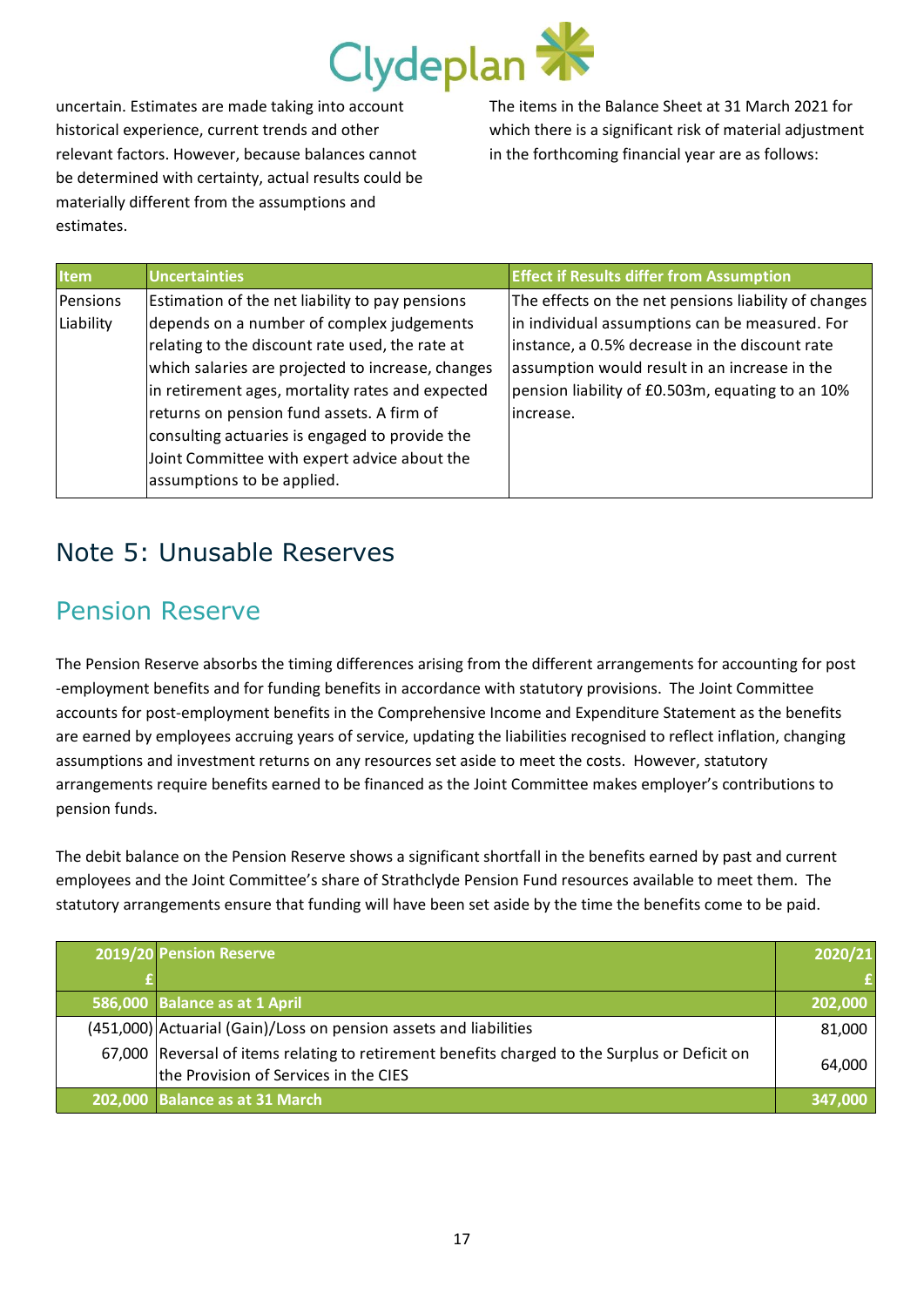

uncertain. Estimates are made taking into account historical experience, current trends and other relevant factors. However, because balances cannot be determined with certainty, actual results could be materially different from the assumptions and estimates.

The items in the Balance Sheet at 31 March 2021 for which there is a significant risk of material adjustment in the forthcoming financial year are as follows:

| <b>Item</b> | <b>Uncertainties</b>                              | <b>Effect if Results differ from Assumption</b>      |
|-------------|---------------------------------------------------|------------------------------------------------------|
| Pensions    | Estimation of the net liability to pay pensions   | The effects on the net pensions liability of changes |
| Liability   | depends on a number of complex judgements         | in individual assumptions can be measured. For       |
|             | relating to the discount rate used, the rate at   | instance, a 0.5% decrease in the discount rate       |
|             | which salaries are projected to increase, changes | assumption would result in an increase in the        |
|             | in retirement ages, mortality rates and expected  | pension liability of £0.503m, equating to an 10%     |
|             | returns on pension fund assets. A firm of         | lincrease.                                           |
|             | consulting actuaries is engaged to provide the    |                                                      |
|             | Joint Committee with expert advice about the      |                                                      |
|             | assumptions to be applied.                        |                                                      |

#### <span id="page-18-0"></span>Note 5: Unusable Reserves

#### Pension Reserve

The Pension Reserve absorbs the timing differences arising from the different arrangements for accounting for post -employment benefits and for funding benefits in accordance with statutory provisions. The Joint Committee accounts for post-employment benefits in the Comprehensive Income and Expenditure Statement as the benefits are earned by employees accruing years of service, updating the liabilities recognised to reflect inflation, changing assumptions and investment returns on any resources set aside to meet the costs. However, statutory arrangements require benefits earned to be financed as the Joint Committee makes employer's contributions to pension funds.

The debit balance on the Pension Reserve shows a significant shortfall in the benefits earned by past and current employees and the Joint Committee's share of Strathclyde Pension Fund resources available to meet them. The statutory arrangements ensure that funding will have been set aside by the time the benefits come to be paid.

| 2019/20 Pension Reserve                                                                                                                | 2020/21 |
|----------------------------------------------------------------------------------------------------------------------------------------|---------|
|                                                                                                                                        |         |
| 586,000 Balance as at 1 April                                                                                                          | 202,000 |
| (451,000) Actuarial (Gain)/Loss on pension assets and liabilities                                                                      | 81,000  |
| 67,000 Reversal of items relating to retirement benefits charged to the Surplus or Deficit on<br>the Provision of Services in the CIES | 64.000  |
| 202,000 Balance as at 31 March                                                                                                         | 347,000 |
|                                                                                                                                        |         |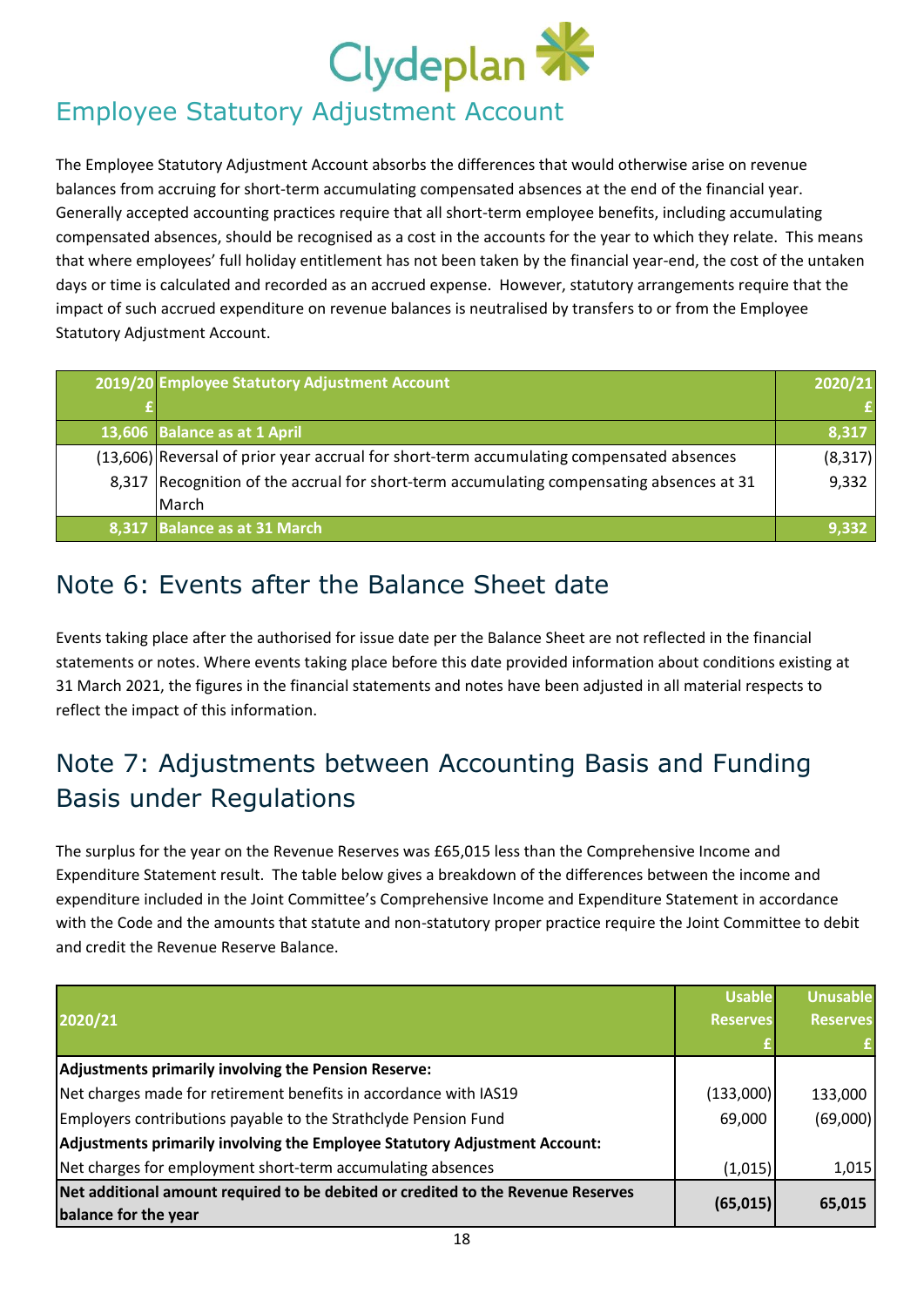

#### Employee Statutory Adjustment Account

The Employee Statutory Adjustment Account absorbs the differences that would otherwise arise on revenue balances from accruing for short-term accumulating compensated absences at the end of the financial year. Generally accepted accounting practices require that all short-term employee benefits, including accumulating compensated absences, should be recognised as a cost in the accounts for the year to which they relate. This means that where employees' full holiday entitlement has not been taken by the financial year-end, the cost of the untaken days or time is calculated and recorded as an accrued expense. However, statutory arrangements require that the impact of such accrued expenditure on revenue balances is neutralised by transfers to or from the Employee Statutory Adjustment Account.

| 2019/20 Employee Statutory Adjustment Account                                                     | 2020/21  |
|---------------------------------------------------------------------------------------------------|----------|
|                                                                                                   |          |
| 13,606 Balance as at 1 April                                                                      | 8,317    |
| (13,606) Reversal of prior year accrual for short-term accumulating compensated absences          | (8, 317) |
| 8,317 Recognition of the accrual for short-term accumulating compensating absences at 31<br>March | 9,332    |
| 8,317 Balance as at 31 March                                                                      | 9,332    |
|                                                                                                   |          |

#### <span id="page-19-0"></span>Note 6: Events after the Balance Sheet date

Events taking place after the authorised for issue date per the Balance Sheet are not reflected in the financial statements or notes. Where events taking place before this date provided information about conditions existing at 31 March 2021, the figures in the financial statements and notes have been adjusted in all material respects to reflect the impact of this information.

# <span id="page-19-1"></span>Note 7: Adjustments between Accounting Basis and Funding Basis under Regulations

The surplus for the year on the Revenue Reserves was £65,015 less than the Comprehensive Income and Expenditure Statement result. The table below gives a breakdown of the differences between the income and expenditure included in the Joint Committee's Comprehensive Income and Expenditure Statement in accordance with the Code and the amounts that statute and non-statutory proper practice require the Joint Committee to debit and credit the Revenue Reserve Balance.

|                                                                                                          | <b>Usable</b>   | <b>Unusable</b> |
|----------------------------------------------------------------------------------------------------------|-----------------|-----------------|
| 2020/21                                                                                                  | <b>Reserves</b> | <b>Reserves</b> |
|                                                                                                          |                 | £               |
| Adjustments primarily involving the Pension Reserve:                                                     |                 |                 |
| Net charges made for retirement benefits in accordance with IAS19                                        | (133,000)       | 133,000         |
| Employers contributions payable to the Strathclyde Pension Fund                                          | 69,000          | (69,000)        |
| Adjustments primarily involving the Employee Statutory Adjustment Account:                               |                 |                 |
| Net charges for employment short-term accumulating absences                                              | (1,015)         | 1,015           |
| Net additional amount required to be debited or credited to the Revenue Reserves<br>balance for the year | (65, 015)       | 65,015          |
| 1 2                                                                                                      |                 |                 |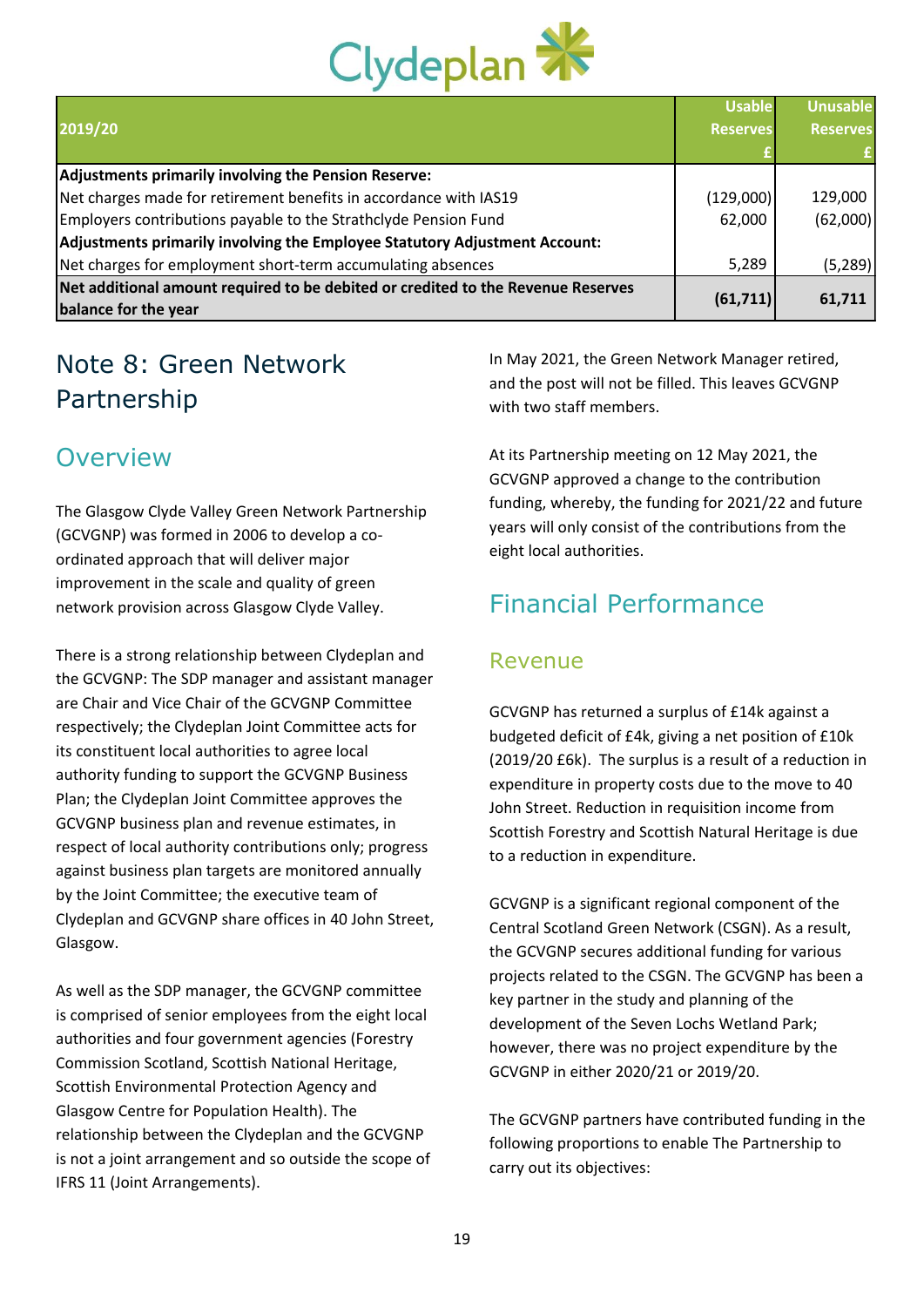

| <b>Reserves</b> |
|-----------------|
|                 |
|                 |
|                 |
| 129,000         |
| (62,000)        |
|                 |
| (5, 289)        |
| 61,711          |
|                 |
|                 |

# <span id="page-20-0"></span>Note 8: Green Network Partnership

#### **Overview**

The Glasgow Clyde Valley Green Network Partnership (GCVGNP) was formed in 2006 to develop a coordinated approach that will deliver major improvement in the scale and quality of green network provision across Glasgow Clyde Valley.

There is a strong relationship between Clydeplan and the GCVGNP: The SDP manager and assistant manager are Chair and Vice Chair of the GCVGNP Committee respectively; the Clydeplan Joint Committee acts for its constituent local authorities to agree local authority funding to support the GCVGNP Business Plan; the Clydeplan Joint Committee approves the GCVGNP business plan and revenue estimates, in respect of local authority contributions only; progress against business plan targets are monitored annually by the Joint Committee; the executive team of Clydeplan and GCVGNP share offices in 40 John Street, Glasgow.

As well as the SDP manager, the GCVGNP committee is comprised of senior employees from the eight local authorities and four government agencies (Forestry Commission Scotland, Scottish National Heritage, Scottish Environmental Protection Agency and Glasgow Centre for Population Health). The relationship between the Clydeplan and the GCVGNP is not a joint arrangement and so outside the scope of IFRS 11 (Joint Arrangements).

In May 2021, the Green Network Manager retired, and the post will not be filled. This leaves GCVGNP with two staff members.

At its Partnership meeting on 12 May 2021, the GCVGNP approved a change to the contribution funding, whereby, the funding for 2021/22 and future years will only consist of the contributions from the eight local authorities.

# Financial Performance

#### Revenue

GCVGNP has returned a surplus of £14k against a budgeted deficit of £4k, giving a net position of £10k (2019/20 £6k). The surplus is a result of a reduction in expenditure in property costs due to the move to 40 John Street. Reduction in requisition income from Scottish Forestry and Scottish Natural Heritage is due to a reduction in expenditure.

GCVGNP is a significant regional component of the Central Scotland Green Network (CSGN). As a result, the GCVGNP secures additional funding for various projects related to the CSGN. The GCVGNP has been a key partner in the study and planning of the development of the Seven Lochs Wetland Park; however, there was no project expenditure by the GCVGNP in either 2020/21 or 2019/20.

The GCVGNP partners have contributed funding in the following proportions to enable The Partnership to carry out its objectives: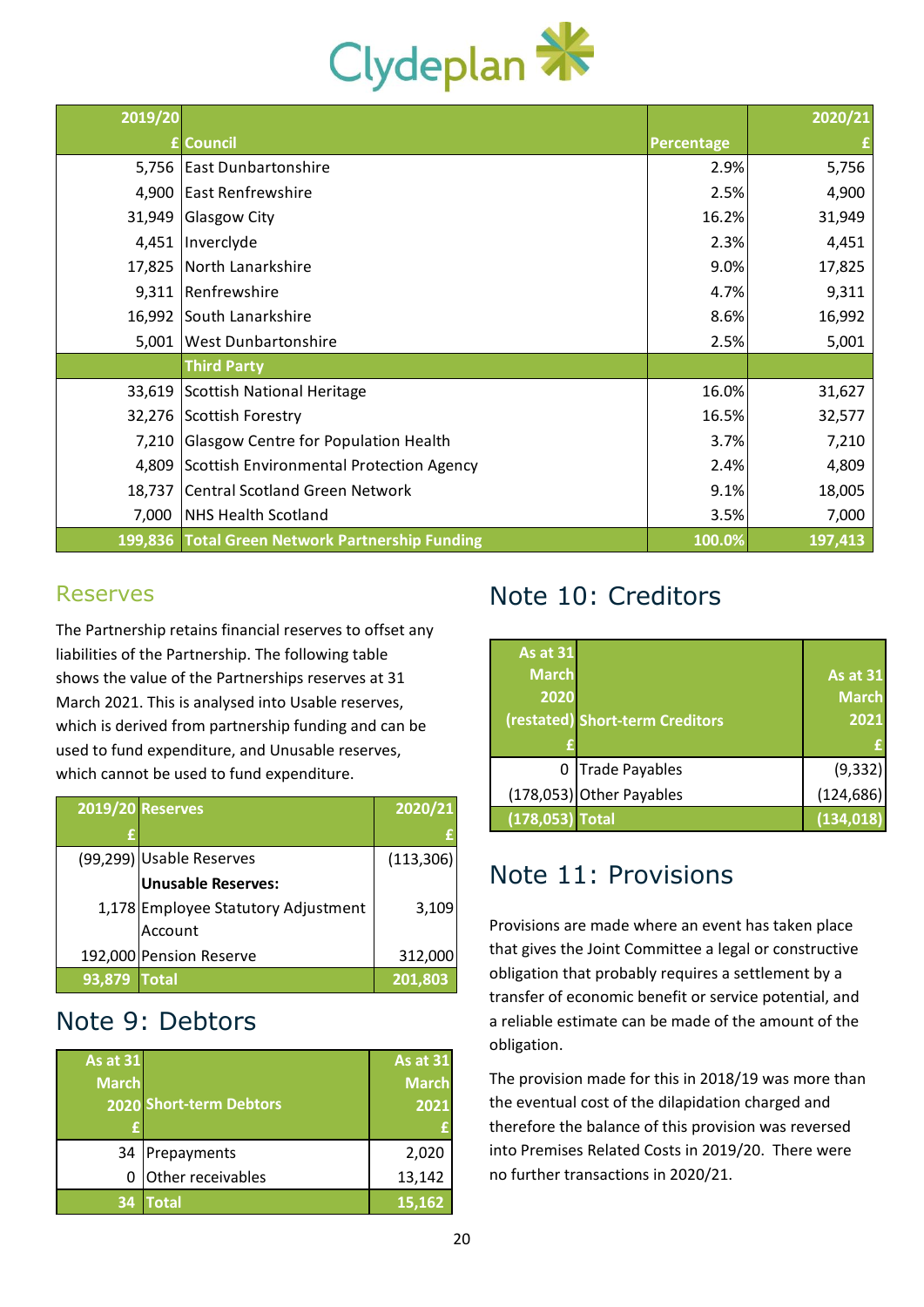

| 2019/20 |                                                 |            | 2020/21 |
|---------|-------------------------------------------------|------------|---------|
|         | £ Council                                       | Percentage |         |
|         | 5,756 East Dunbartonshire                       | 2.9%       | 5,756   |
| 4,900   | <b>East Renfrewshire</b>                        | 2.5%       | 4,900   |
| 31,949  | <b>Glasgow City</b>                             | 16.2%      | 31,949  |
| 4,451   | Inverclyde                                      | 2.3%       | 4,451   |
| 17,825  | North Lanarkshire                               | 9.0%       | 17,825  |
| 9,311   | Renfrewshire                                    | 4.7%       | 9,311   |
| 16,992  | South Lanarkshire                               | 8.6%       | 16,992  |
| 5,001   | <b>West Dunbartonshire</b>                      | 2.5%       | 5,001   |
|         | <b>Third Party</b>                              |            |         |
| 33,619  | Scottish National Heritage                      | 16.0%      | 31,627  |
| 32,276  | Scottish Forestry                               | 16.5%      | 32,577  |
| 7,210   | <b>Glasgow Centre for Population Health</b>     | 3.7%       | 7,210   |
| 4,809   | Scottish Environmental Protection Agency        | 2.4%       | 4,809   |
| 18,737  | <b>Central Scotland Green Network</b>           | 9.1%       | 18,005  |
| 7,000   | NHS Health Scotland                             | 3.5%       | 7,000   |
|         | 199,836 Total Green Network Partnership Funding | 100.0%     | 197,413 |

#### Reserves

The Partnership retains financial reserves to offset any liabilities of the Partnership. The following table shows the value of the Partnerships reserves at 31 March 2021. This is analysed into Usable reserves, which is derived from partnership funding and can be used to fund expenditure, and Unusable reserves, which cannot be used to fund expenditure.

|        | <b>2019/20 Reserves</b>             | 2020/21    |
|--------|-------------------------------------|------------|
|        |                                     |            |
|        | (99,299) Usable Reserves            | (113, 306) |
|        | <b>Unusable Reserves:</b>           |            |
|        | 1,178 Employee Statutory Adjustment | 3,109      |
|        | Account                             |            |
|        | 192,000 Pension Reserve             | 312,000    |
| 93,879 | <b>Total</b>                        | 201,803    |

#### <span id="page-21-0"></span>Note 9: Debtors

| <b>As at 31</b> |                         | As at $31$   |
|-----------------|-------------------------|--------------|
| <b>March</b>    |                         | <b>March</b> |
|                 | 2020 Short-term Debtors | 2021         |
|                 |                         |              |
| 34              | Prepayments             | 2,020        |
|                 | Other receivables       | 13,142       |
| 34              | <b>Total</b>            | 15,162       |

# <span id="page-21-1"></span>Note 10: Creditors

| As at $31$<br><b>March</b><br>2020 | (restated) Short-term Creditors | <b>As at 31</b><br><b>March</b><br>2021 |
|------------------------------------|---------------------------------|-----------------------------------------|
| 0                                  | Trade Payables                  | (9, 332)                                |
|                                    | (178,053) Other Payables        | (124, 686)                              |
| $(178,053)$ Total                  |                                 | (134, 018)                              |

#### <span id="page-21-2"></span>Note 11: Provisions

Provisions are made where an event has taken place that gives the Joint Committee a legal or constructive obligation that probably requires a settlement by a transfer of economic benefit or service potential, and a reliable estimate can be made of the amount of the obligation.

The provision made for this in 2018/19 was more than the eventual cost of the dilapidation charged and therefore the balance of this provision was reversed into Premises Related Costs in 2019/20. There were no further transactions in 2020/21.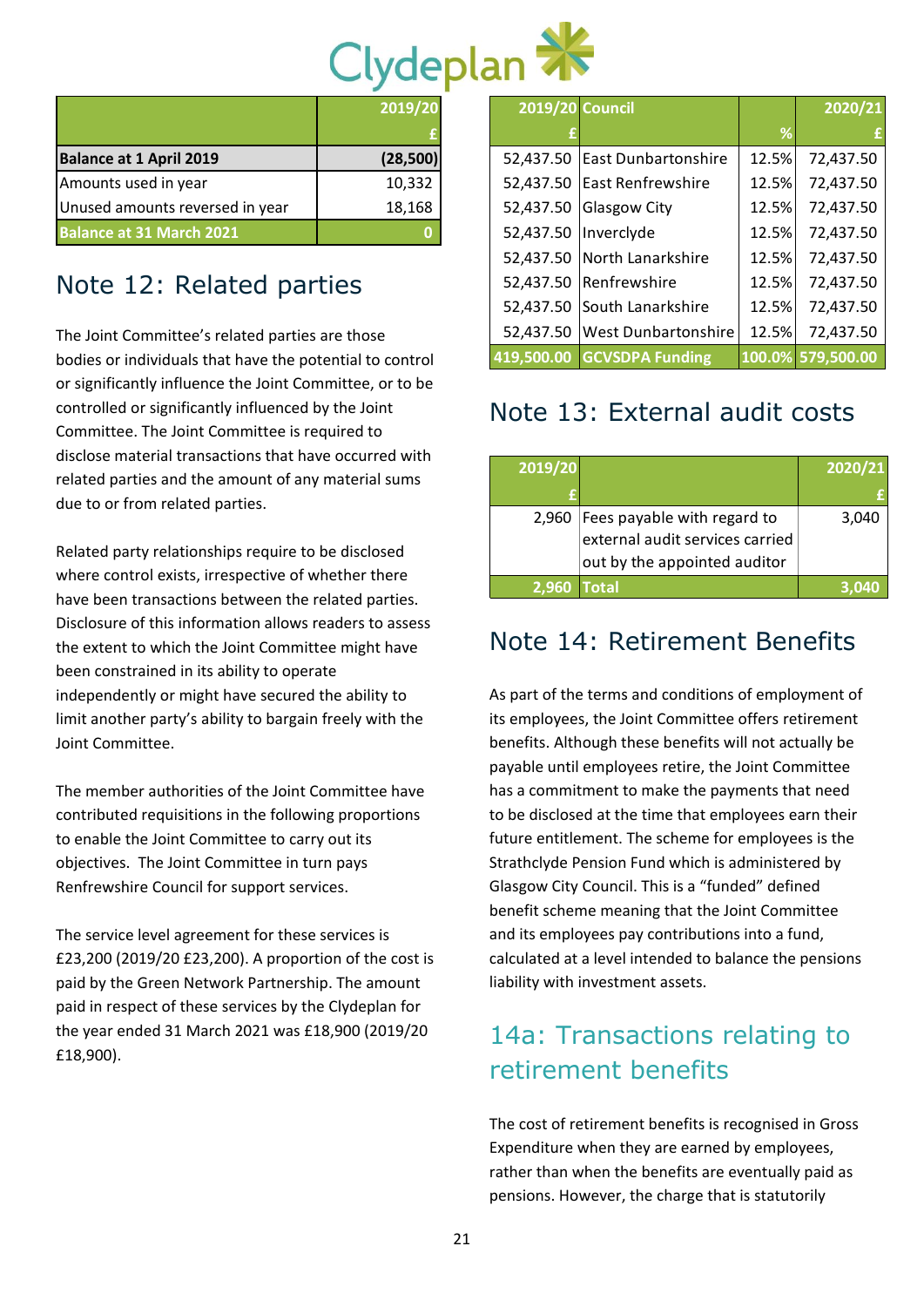

|                                 | 2019/20   |
|---------------------------------|-----------|
|                                 |           |
| <b>Balance at 1 April 2019</b>  | (28, 500) |
| Amounts used in year            | 10,332    |
| Unused amounts reversed in year | 18,168    |
| <b>Balance at 31 March 2021</b> |           |

#### <span id="page-22-0"></span>Note 12: Related parties

The Joint Committee's related parties are those bodies or individuals that have the potential to control or significantly influence the Joint Committee, or to be controlled or significantly influenced by the Joint Committee. The Joint Committee is required to disclose material transactions that have occurred with related parties and the amount of any material sums due to or from related parties.

Related party relationships require to be disclosed where control exists, irrespective of whether there have been transactions between the related parties. Disclosure of this information allows readers to assess the extent to which the Joint Committee might have been constrained in its ability to operate independently or might have secured the ability to limit another party's ability to bargain freely with the Joint Committee.

The member authorities of the Joint Committee have contributed requisitions in the following proportions to enable the Joint Committee to carry out its objectives. The Joint Committee in turn pays Renfrewshire Council for support services.

The service level agreement for these services is £23,200 (2019/20 £23,200). A proportion of the cost is paid by the Green Network Partnership. The amount paid in respect of these services by the Clydeplan for the year ended 31 March 2021 was £18,900 (2019/20 £18,900).

| <b>2019/20 Council</b> |                            |       | 2020/21           |
|------------------------|----------------------------|-------|-------------------|
|                        |                            | ℅     |                   |
| 52,437.50              | <b>East Dunbartonshire</b> | 12.5% | 72,437.50         |
| 52,437.50              | <b>East Renfrewshire</b>   | 12.5% | 72,437.50         |
| 52,437.50              | <b>Glasgow City</b>        | 12.5% | 72,437.50         |
| 52,437.50              | Inverclyde                 | 12.5% | 72,437.50         |
| 52,437.50              | North Lanarkshire          | 12.5% | 72,437.50         |
| 52,437.50              | Renfrewshire               | 12.5% | 72,437.50         |
| 52,437.50              | South Lanarkshire          | 12.5% | 72,437.50         |
| 52,437.50              | <b>West Dunbartonshire</b> | 12.5% | 72,437.50         |
| 419.500.00             | <b>GCVSDPA Funding</b>     |       | 100.0% 579,500.00 |

#### <span id="page-22-1"></span>Note 13: External audit costs

| 2019/20 |                                                                                                | 2020/21 |
|---------|------------------------------------------------------------------------------------------------|---------|
|         |                                                                                                |         |
| 2,960   | Fees payable with regard to<br>external audit services carried<br>out by the appointed auditor | 3,040   |
| 2.960   | <b>Total</b>                                                                                   | 3.040   |

#### <span id="page-22-2"></span>Note 14: Retirement Benefits

As part of the terms and conditions of employment of its employees, the Joint Committee offers retirement benefits. Although these benefits will not actually be payable until employees retire, the Joint Committee has a commitment to make the payments that need to be disclosed at the time that employees earn their future entitlement. The scheme for employees is the Strathclyde Pension Fund which is administered by Glasgow City Council. This is a "funded" defined benefit scheme meaning that the Joint Committee and its employees pay contributions into a fund, calculated at a level intended to balance the pensions liability with investment assets.

# 14a: Transactions relating to retirement benefits

The cost of retirement benefits is recognised in Gross Expenditure when they are earned by employees, rather than when the benefits are eventually paid as pensions. However, the charge that is statutorily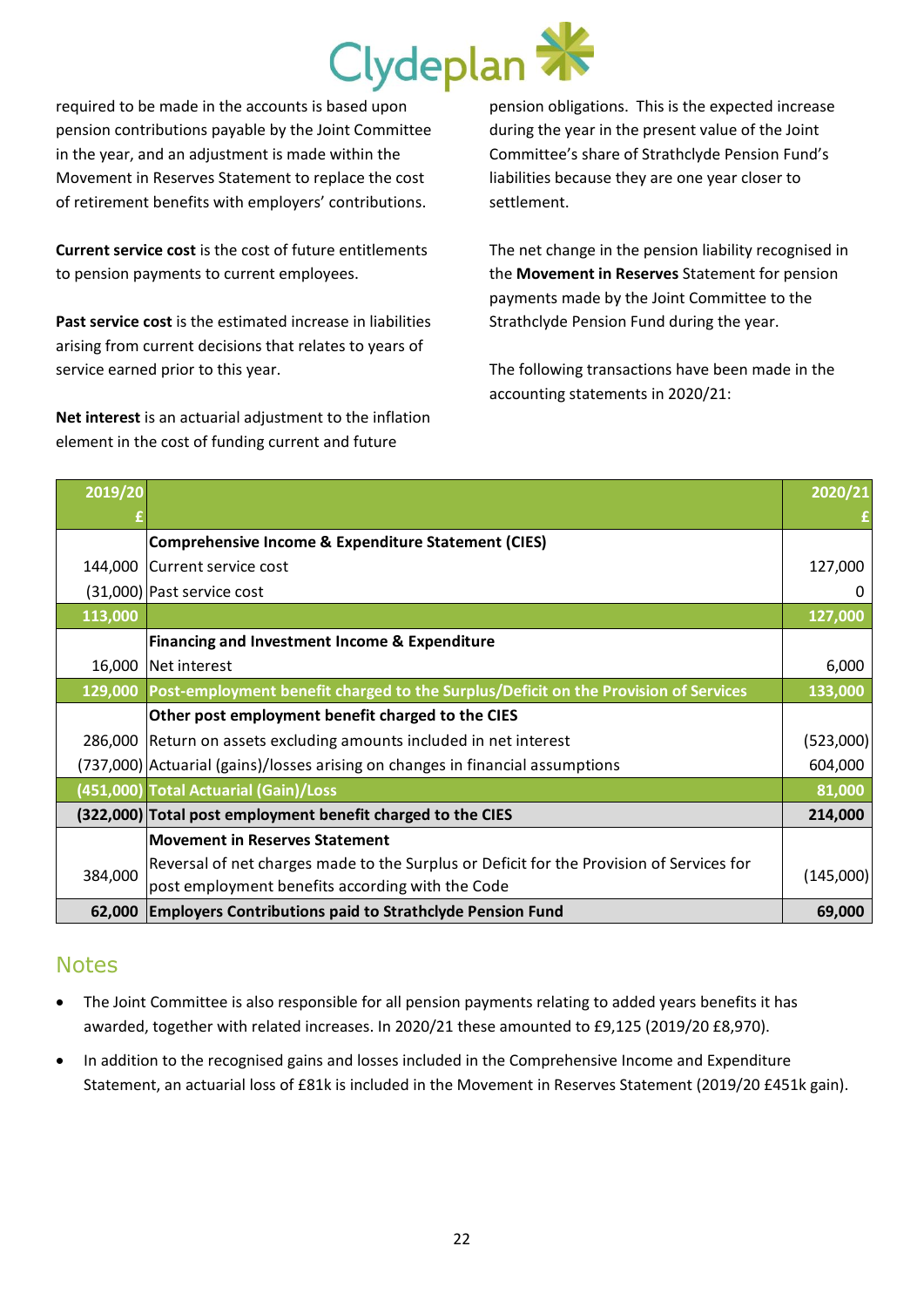

required to be made in the accounts is based upon pension contributions payable by the Joint Committee in the year, and an adjustment is made within the Movement in Reserves Statement to replace the cost of retirement benefits with employers' contributions.

**Current service cost** is the cost of future entitlements to pension payments to current employees.

**Past service cost** is the estimated increase in liabilities arising from current decisions that relates to years of service earned prior to this year.

**Net interest** is an actuarial adjustment to the inflation element in the cost of funding current and future

pension obligations. This is the expected increase during the year in the present value of the Joint Committee's share of Strathclyde Pension Fund's liabilities because they are one year closer to settlement.

The net change in the pension liability recognised in the **Movement in Reserves** Statement for pension payments made by the Joint Committee to the Strathclyde Pension Fund during the year.

The following transactions have been made in the accounting statements in 2020/21:

| 2019/20 |                                                                                          | 2020/21   |
|---------|------------------------------------------------------------------------------------------|-----------|
|         |                                                                                          |           |
|         | Comprehensive Income & Expenditure Statement (CIES)                                      |           |
|         | 144,000 Current service cost                                                             | 127,000   |
|         | (31,000) Past service cost                                                               |           |
| 113,000 |                                                                                          | 127,000   |
|         | <b>Financing and Investment Income &amp; Expenditure</b>                                 |           |
|         | 16,000   Net interest                                                                    | 6,000     |
| 129,000 | Post-employment benefit charged to the Surplus/Deficit on the Provision of Services      | 133,000   |
|         | Other post employment benefit charged to the CIES                                        |           |
|         | 286,000   Return on assets excluding amounts included in net interest                    | (523,000) |
|         | (737,000) Actuarial (gains)/losses arising on changes in financial assumptions           | 604,000   |
|         | (451,000) Total Actuarial (Gain)/Loss                                                    | 81,000    |
|         | (322,000) Total post employment benefit charged to the CIES                              | 214,000   |
|         | <b>Movement in Reserves Statement</b>                                                    |           |
| 384,000 | Reversal of net charges made to the Surplus or Deficit for the Provision of Services for | (145,000) |
|         | post employment benefits according with the Code                                         |           |
|         | 62,000 Employers Contributions paid to Strathclyde Pension Fund                          | 69,000    |

#### **Notes**

- The Joint Committee is also responsible for all pension payments relating to added years benefits it has awarded, together with related increases. In 2020/21 these amounted to £9,125 (2019/20 £8,970).
- In addition to the recognised gains and losses included in the Comprehensive Income and Expenditure Statement, an actuarial loss of £81k is included in the Movement in Reserves Statement (2019/20 £451k gain).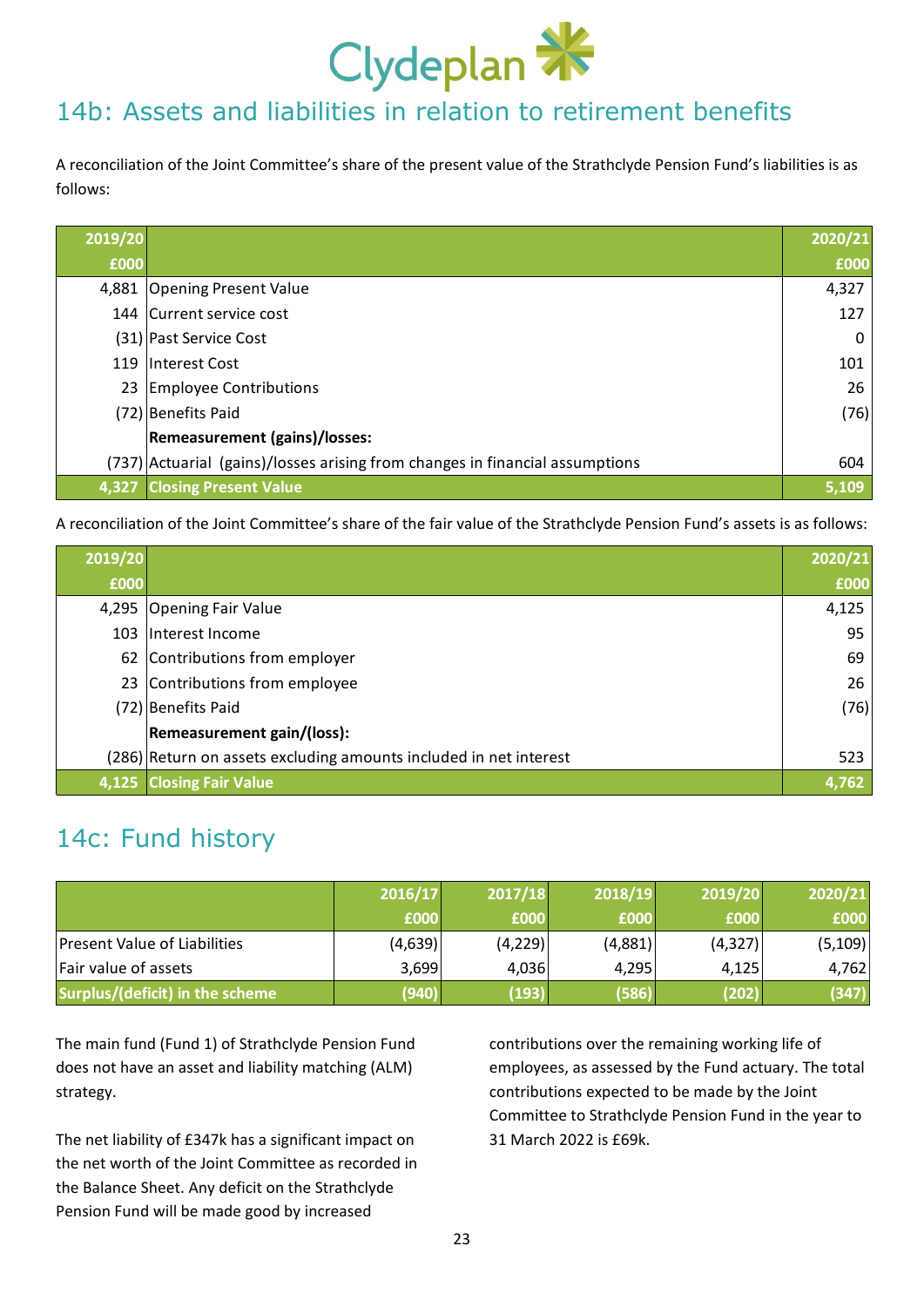

#### 14b: Assets and liabilities in relation to retirement benefits

A reconciliation of the Joint Committee's share of the present value of the Strathclyde Pension Fund's liabilities is as follows:

| 2019/20 |                                                                              | 2020/21 |
|---------|------------------------------------------------------------------------------|---------|
| £000    |                                                                              | £000    |
|         | 4,881 Opening Present Value                                                  | 4,327   |
|         | 144 Current service cost                                                     | 127     |
|         | (31) Past Service Cost                                                       | 0       |
|         | 119 Interest Cost                                                            | 101     |
|         | 23 Employee Contributions                                                    | 26      |
|         | (72) Benefits Paid                                                           | (76)    |
|         | <b>Remeasurement (gains)/losses:</b>                                         |         |
|         | (737) Actuarial (gains)/losses arising from changes in financial assumptions | 604     |
|         | 4,327 Closing Present Value                                                  | 5,109   |

A reconciliation of the Joint Committee's share of the fair value of the Strathclyde Pension Fund's assets is as follows:

| 2019/20 |                                                                   | 2020/21 |
|---------|-------------------------------------------------------------------|---------|
| £000    |                                                                   | £000    |
|         | 4,295 Opening Fair Value                                          | 4,125   |
|         | 103 Interest Income                                               | 95      |
|         | 62 Contributions from employer                                    | 69      |
|         | 23 Contributions from employee                                    | 26      |
|         | (72) Benefits Paid                                                | (76)    |
|         | <b>Remeasurement gain/(loss):</b>                                 |         |
|         | (286) Return on assets excluding amounts included in net interest | 523     |
|         | 4,125 Closing Fair Value                                          | 4,762   |

#### 14c: Fund history

|                                     | 2016/17 | 2017/18 | 2018/19 | 2019/20 | 2020/21  |
|-------------------------------------|---------|---------|---------|---------|----------|
|                                     | £000    | £000    | £000    | £000    | £000     |
| <b>Present Value of Liabilities</b> | (4,639) | (4,229) | (4,881) | (4,327) | (5, 109) |
| Fair value of assets                | 3,699   | 4,036   | 4,295   | 4,125   | 4,762    |
| Surplus/(deficit) in the scheme     | (940)   | (193)   | (586)   | (202)   | (347)    |

The main fund (Fund 1) of Strathclyde Pension Fund does not have an asset and liability matching (ALM) strategy.

The net liability of £347k has a significant impact on the net worth of the Joint Committee as recorded in the Balance Sheet. Any deficit on the Strathclyde Pension Fund will be made good by increased

contributions over the remaining working life of employees, as assessed by the Fund actuary. The total contributions expected to be made by the Joint Committee to Strathclyde Pension Fund in the year to 31 March 2022 is £69k.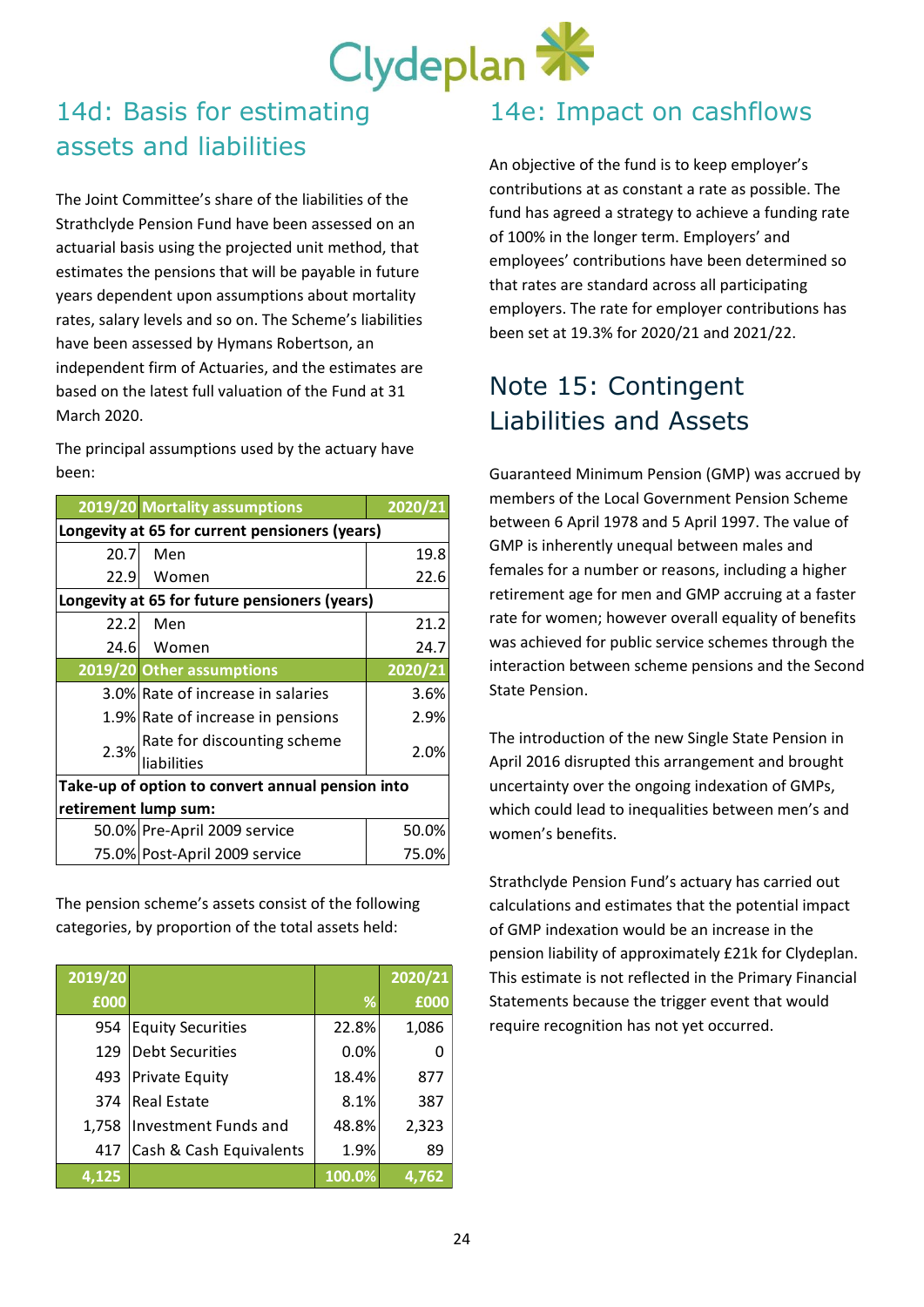

# 14d: Basis for estimating assets and liabilities

The Joint Committee's share of the liabilities of the Strathclyde Pension Fund have been assessed on an actuarial basis using the projected unit method, that estimates the pensions that will be payable in future years dependent upon assumptions about mortality rates, salary levels and so on. The Scheme's liabilities have been assessed by Hymans Robertson, an independent firm of Actuaries, and the estimates are based on the latest full valuation of the Fund at 31 March 2020.

The principal assumptions used by the actuary have been:

|                                                  | 2019/20 Mortality assumptions                 | 2020/21 |  |  |
|--------------------------------------------------|-----------------------------------------------|---------|--|--|
| Longevity at 65 for current pensioners (years)   |                                               |         |  |  |
| 20.7                                             | Men                                           | 19.8    |  |  |
| 22.9I                                            | Women                                         | 22.6    |  |  |
|                                                  | Longevity at 65 for future pensioners (years) |         |  |  |
| 22.2                                             | Men                                           | 21.2    |  |  |
| 24.61                                            | Women                                         | 24.7    |  |  |
|                                                  | 2019/20 Other assumptions                     | 2020/21 |  |  |
|                                                  | 3.0% Rate of increase in salaries             | 3.6%    |  |  |
|                                                  | 1.9% Rate of increase in pensions             | 2.9%    |  |  |
| 2.3%                                             | Rate for discounting scheme<br>liabilities    | 2.0%    |  |  |
| Take-up of option to convert annual pension into |                                               |         |  |  |
| retirement lump sum:                             |                                               |         |  |  |
|                                                  | 50.0% Pre-April 2009 service                  | 50.0%   |  |  |
|                                                  | 75.0% Post-April 2009 service                 | 75.0%   |  |  |

The pension scheme's assets consist of the following categories, by proportion of the total assets held:

| 2019/20 |                          |        | 2020/21 |
|---------|--------------------------|--------|---------|
| £000    |                          | %      | £000    |
| 954     | <b>Equity Securities</b> | 22.8%  | 1,086   |
| 129     | <b>Debt Securities</b>   | 0.0%   |         |
| 493     | <b>Private Equity</b>    | 18.4%  | 877     |
| 374     | <b>Real Estate</b>       | 8.1%   | 387     |
| 1,758   | Investment Funds and     | 48.8%  | 2,323   |
| 417     | Cash & Cash Equivalents  | 1.9%   | 89      |
| 4.125   |                          | 100.0% |         |

#### 14e: Impact on cashflows

An objective of the fund is to keep employer's contributions at as constant a rate as possible. The fund has agreed a strategy to achieve a funding rate of 100% in the longer term. Employers' and employees' contributions have been determined so that rates are standard across all participating employers. The rate for employer contributions has been set at 19.3% for 2020/21 and 2021/22.

# <span id="page-25-0"></span>Note 15: Contingent Liabilities and Assets

Guaranteed Minimum Pension (GMP) was accrued by members of the Local Government Pension Scheme between 6 April 1978 and 5 April 1997. The value of GMP is inherently unequal between males and females for a number or reasons, including a higher retirement age for men and GMP accruing at a faster rate for women; however overall equality of benefits was achieved for public service schemes through the interaction between scheme pensions and the Second State Pension.

The introduction of the new Single State Pension in April 2016 disrupted this arrangement and brought uncertainty over the ongoing indexation of GMPs, which could lead to inequalities between men's and women's benefits.

Strathclyde Pension Fund's actuary has carried out calculations and estimates that the potential impact of GMP indexation would be an increase in the pension liability of approximately £21k for Clydeplan. This estimate is not reflected in the Primary Financial Statements because the trigger event that would require recognition has not yet occurred.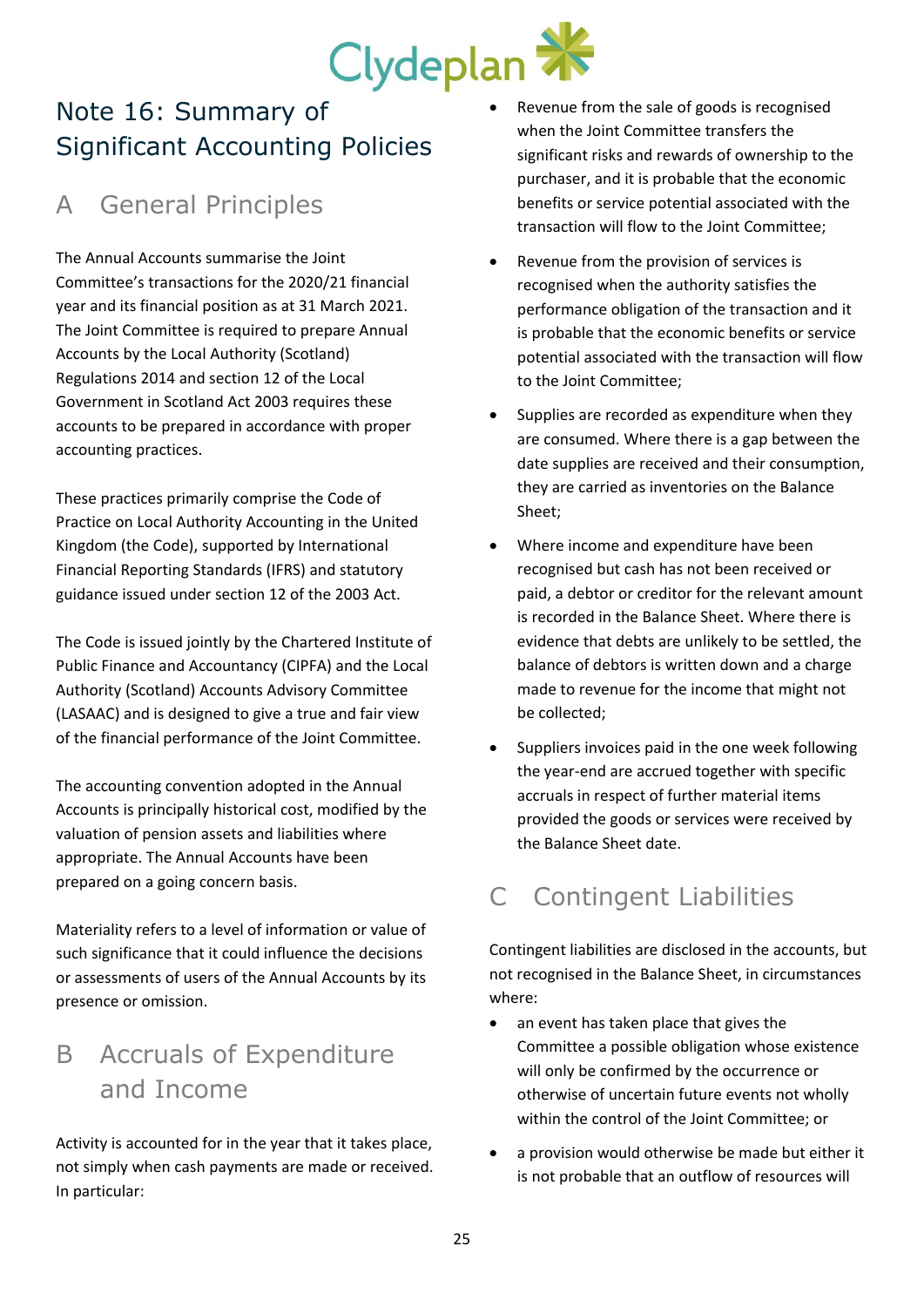

# <span id="page-26-0"></span>Note 16: Summary of Significant Accounting Policies

#### A General Principles

The Annual Accounts summarise the Joint Committee's transactions for the 2020/21 financial year and its financial position as at 31 March 2021. The Joint Committee is required to prepare Annual Accounts by the Local Authority (Scotland) Regulations 2014 and section 12 of the Local Government in Scotland Act 2003 requires these accounts to be prepared in accordance with proper accounting practices.

These practices primarily comprise the Code of Practice on Local Authority Accounting in the United Kingdom (the Code), supported by International Financial Reporting Standards (IFRS) and statutory guidance issued under section 12 of the 2003 Act.

The Code is issued jointly by the Chartered Institute of Public Finance and Accountancy (CIPFA) and the Local Authority (Scotland) Accounts Advisory Committee (LASAAC) and is designed to give a true and fair view of the financial performance of the Joint Committee.

The accounting convention adopted in the Annual Accounts is principally historical cost, modified by the valuation of pension assets and liabilities where appropriate. The Annual Accounts have been prepared on a going concern basis.

Materiality refers to a level of information or value of such significance that it could influence the decisions or assessments of users of the Annual Accounts by its presence or omission.

# B Accruals of Expenditure and Income

Activity is accounted for in the year that it takes place, not simply when cash payments are made or received. In particular:

- Revenue from the sale of goods is recognised when the Joint Committee transfers the significant risks and rewards of ownership to the purchaser, and it is probable that the economic benefits or service potential associated with the transaction will flow to the Joint Committee;
- Revenue from the provision of services is recognised when the authority satisfies the performance obligation of the transaction and it is probable that the economic benefits or service potential associated with the transaction will flow to the Joint Committee;
- Supplies are recorded as expenditure when they are consumed. Where there is a gap between the date supplies are received and their consumption, they are carried as inventories on the Balance Sheet;
- Where income and expenditure have been recognised but cash has not been received or paid, a debtor or creditor for the relevant amount is recorded in the Balance Sheet. Where there is evidence that debts are unlikely to be settled, the balance of debtors is written down and a charge made to revenue for the income that might not be collected;
- Suppliers invoices paid in the one week following the year-end are accrued together with specific accruals in respect of further material items provided the goods or services were received by the Balance Sheet date.

#### C Contingent Liabilities

Contingent liabilities are disclosed in the accounts, but not recognised in the Balance Sheet, in circumstances where:

- an event has taken place that gives the Committee a possible obligation whose existence will only be confirmed by the occurrence or otherwise of uncertain future events not wholly within the control of the Joint Committee; or
- a provision would otherwise be made but either it is not probable that an outflow of resources will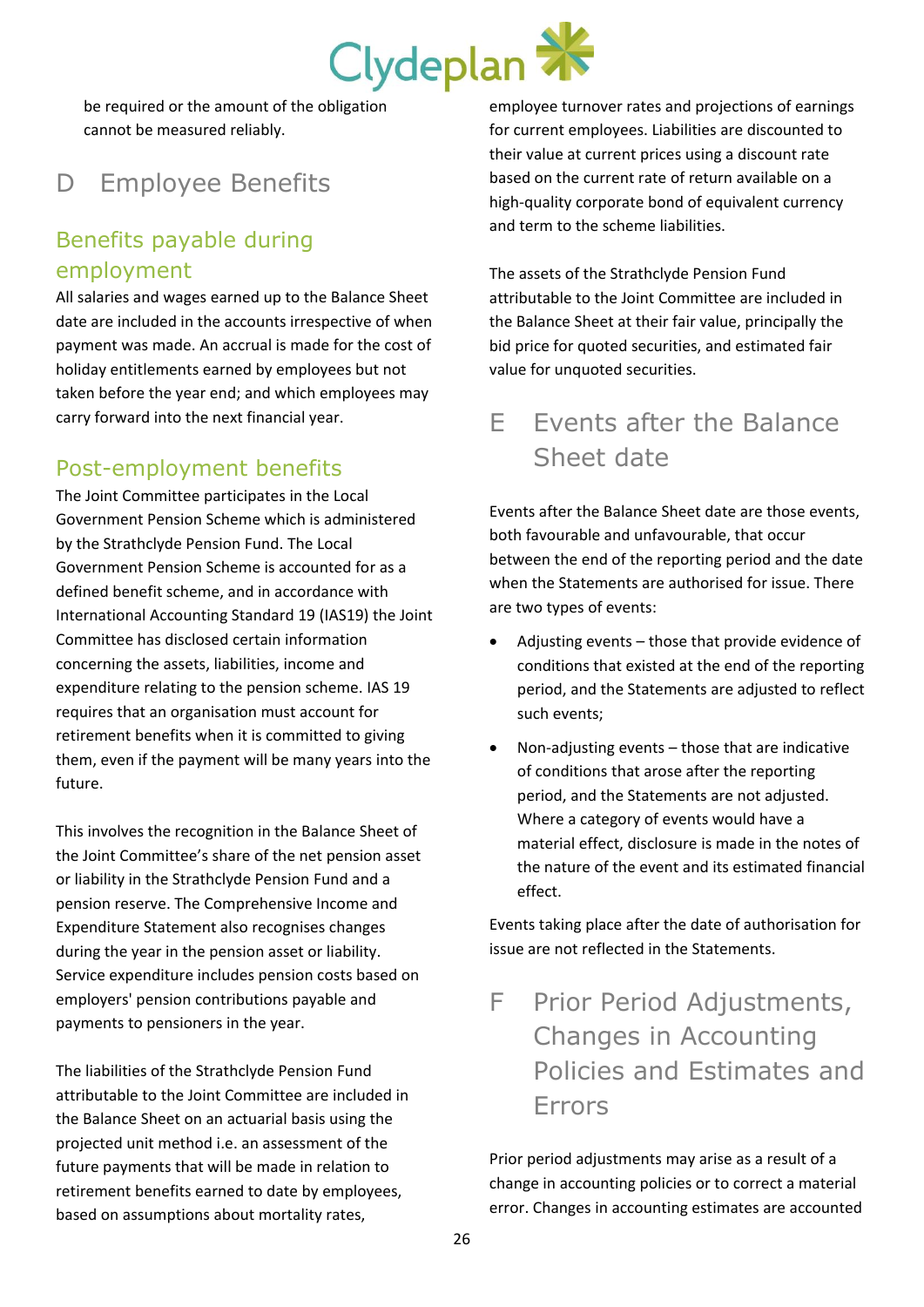

be required or the amount of the obligation cannot be measured reliably.

# D Employee Benefits

#### Benefits payable during employment

All salaries and wages earned up to the Balance Sheet date are included in the accounts irrespective of when payment was made. An accrual is made for the cost of holiday entitlements earned by employees but not taken before the year end; and which employees may carry forward into the next financial year.

#### Post-employment benefits

The Joint Committee participates in the Local Government Pension Scheme which is administered by the Strathclyde Pension Fund. The Local Government Pension Scheme is accounted for as a defined benefit scheme, and in accordance with International Accounting Standard 19 (IAS19) the Joint Committee has disclosed certain information concerning the assets, liabilities, income and expenditure relating to the pension scheme. IAS 19 requires that an organisation must account for retirement benefits when it is committed to giving them, even if the payment will be many years into the future.

This involves the recognition in the Balance Sheet of the Joint Committee's share of the net pension asset or liability in the Strathclyde Pension Fund and a pension reserve. The Comprehensive Income and Expenditure Statement also recognises changes during the year in the pension asset or liability. Service expenditure includes pension costs based on employers' pension contributions payable and payments to pensioners in the year.

The liabilities of the Strathclyde Pension Fund attributable to the Joint Committee are included in the Balance Sheet on an actuarial basis using the projected unit method i.e. an assessment of the future payments that will be made in relation to retirement benefits earned to date by employees, based on assumptions about mortality rates,

employee turnover rates and projections of earnings for current employees. Liabilities are discounted to their value at current prices using a discount rate based on the current rate of return available on a high-quality corporate bond of equivalent currency and term to the scheme liabilities.

The assets of the Strathclyde Pension Fund attributable to the Joint Committee are included in the Balance Sheet at their fair value, principally the bid price for quoted securities, and estimated fair value for unquoted securities.

#### E Events after the Balance Sheet date

Events after the Balance Sheet date are those events, both favourable and unfavourable, that occur between the end of the reporting period and the date when the Statements are authorised for issue. There are two types of events:

- Adjusting events those that provide evidence of conditions that existed at the end of the reporting period, and the Statements are adjusted to reflect such events;
- Non-adjusting events those that are indicative of conditions that arose after the reporting period, and the Statements are not adjusted. Where a category of events would have a material effect, disclosure is made in the notes of the nature of the event and its estimated financial effect.

Events taking place after the date of authorisation for issue are not reflected in the Statements.

F Prior Period Adjustments, Changes in Accounting Policies and Estimates and Errors

Prior period adjustments may arise as a result of a change in accounting policies or to correct a material error. Changes in accounting estimates are accounted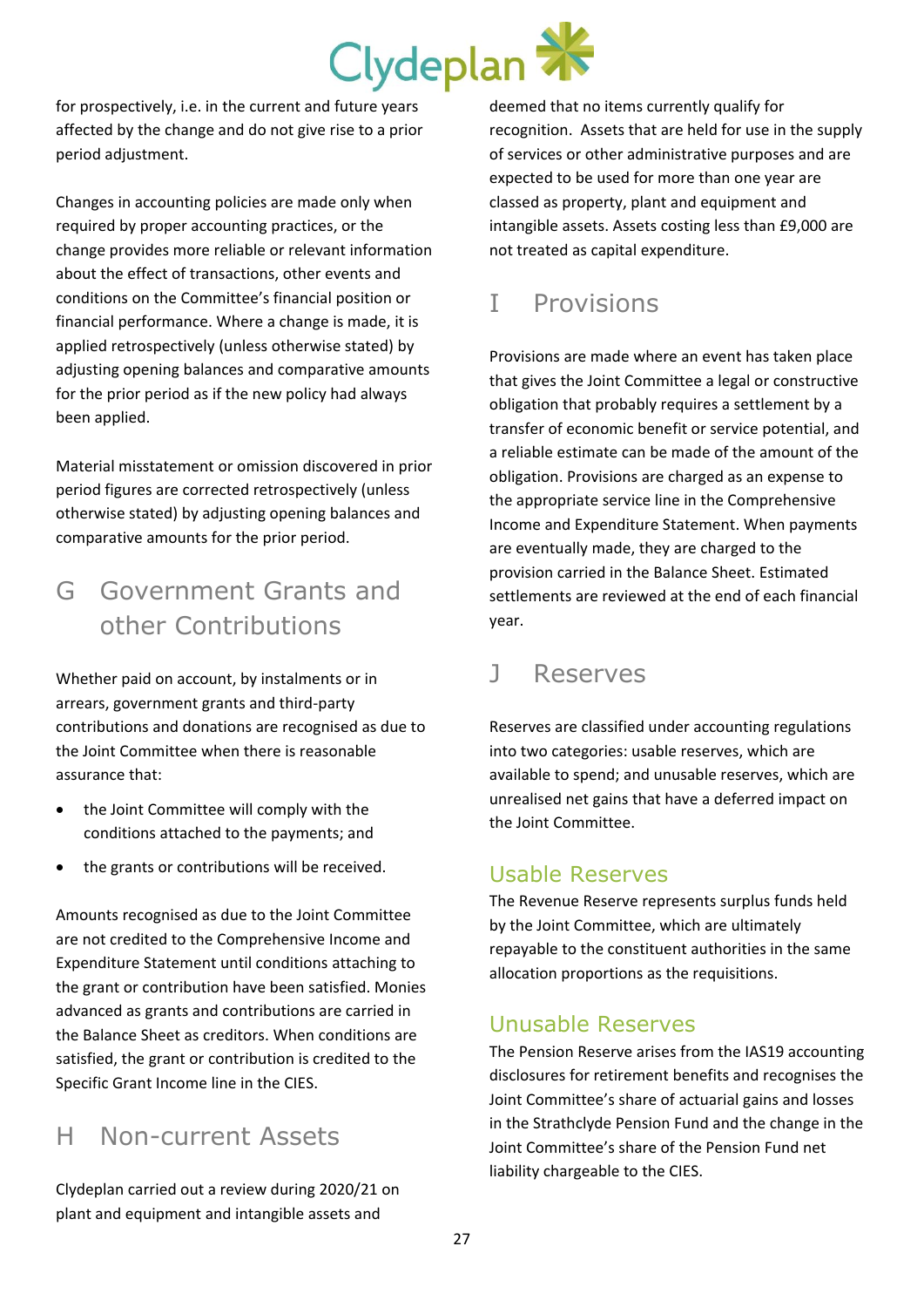# Clydeplan

for prospectively, i.e. in the current and future years affected by the change and do not give rise to a prior period adjustment.

Changes in accounting policies are made only when required by proper accounting practices, or the change provides more reliable or relevant information about the effect of transactions, other events and conditions on the Committee's financial position or financial performance. Where a change is made, it is applied retrospectively (unless otherwise stated) by adjusting opening balances and comparative amounts for the prior period as if the new policy had always been applied.

Material misstatement or omission discovered in prior period figures are corrected retrospectively (unless otherwise stated) by adjusting opening balances and comparative amounts for the prior period.

#### G Government Grants and other Contributions

Whether paid on account, by instalments or in arrears, government grants and third-party contributions and donations are recognised as due to the Joint Committee when there is reasonable assurance that:

- the Joint Committee will comply with the conditions attached to the payments; and
- the grants or contributions will be received.

Amounts recognised as due to the Joint Committee are not credited to the Comprehensive Income and Expenditure Statement until conditions attaching to the grant or contribution have been satisfied. Monies advanced as grants and contributions are carried in the Balance Sheet as creditors. When conditions are satisfied, the grant or contribution is credited to the Specific Grant Income line in the CIES.

#### H Non-current Assets

Clydeplan carried out a review during 2020/21 on plant and equipment and intangible assets and

deemed that no items currently qualify for recognition. Assets that are held for use in the supply of services or other administrative purposes and are expected to be used for more than one year are classed as property, plant and equipment and intangible assets. Assets costing less than £9,000 are not treated as capital expenditure.

#### I Provisions

Provisions are made where an event has taken place that gives the Joint Committee a legal or constructive obligation that probably requires a settlement by a transfer of economic benefit or service potential, and a reliable estimate can be made of the amount of the obligation. Provisions are charged as an expense to the appropriate service line in the Comprehensive Income and Expenditure Statement. When payments are eventually made, they are charged to the provision carried in the Balance Sheet. Estimated settlements are reviewed at the end of each financial year.

# J Reserves

Reserves are classified under accounting regulations into two categories: usable reserves, which are available to spend; and unusable reserves, which are unrealised net gains that have a deferred impact on the Joint Committee.

#### Usable Reserves

The Revenue Reserve represents surplus funds held by the Joint Committee, which are ultimately repayable to the constituent authorities in the same allocation proportions as the requisitions.

#### Unusable Reserves

The Pension Reserve arises from the IAS19 accounting disclosures for retirement benefits and recognises the Joint Committee's share of actuarial gains and losses in the Strathclyde Pension Fund and the change in the Joint Committee's share of the Pension Fund net liability chargeable to the CIES.